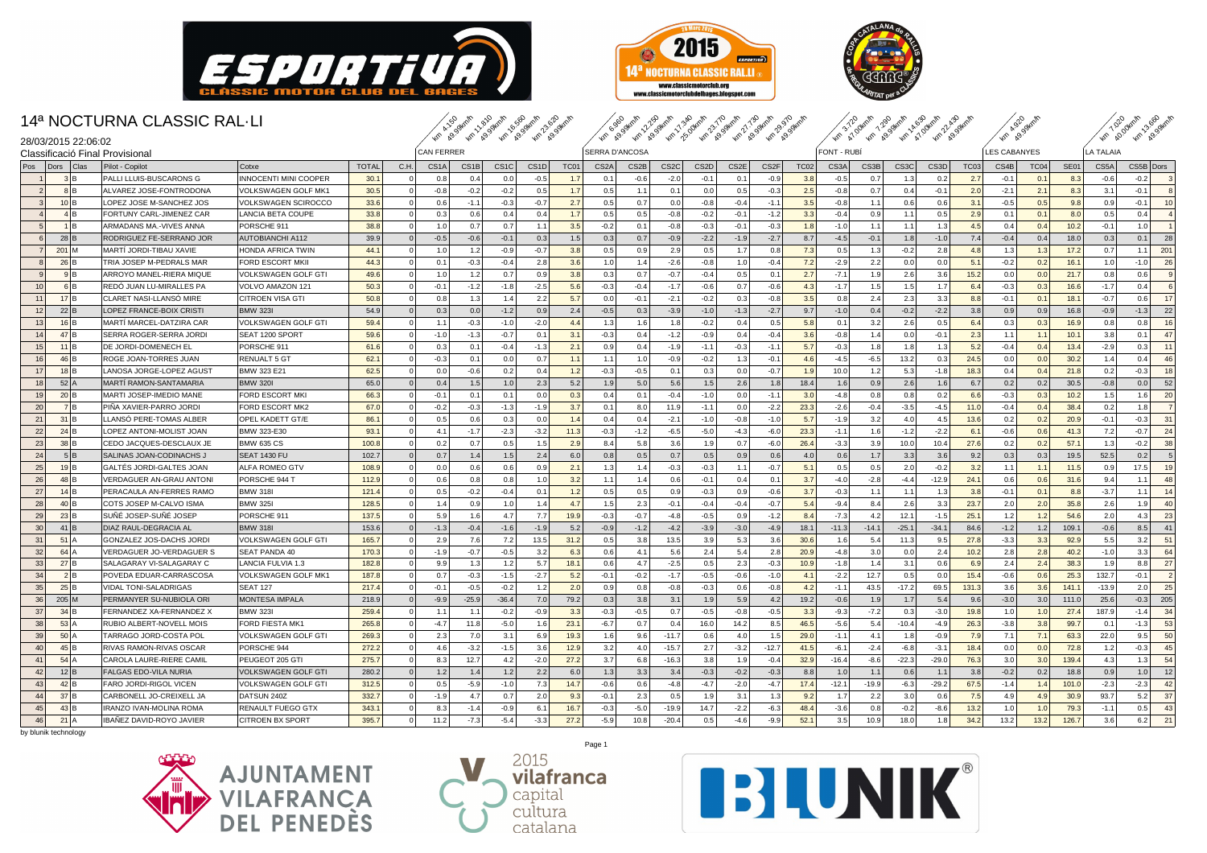





11.810 49.99km/h km 16.560 49.99km/h km 23.620 49.99km/h km 6.960 49.99km/h km 12.250 49.99km/h km 17.340 25.00km/h km 23.770 49.99km/h km 27.730 49.99km/h km 29.970 49.99km/h km 3.720 47.00km/h km 7.290 49.99km/h km 14.630 47.00km/h km 22.430 49.99km/h km 4.920 49.99km/h km 7.020 40.00km/h km 13.660 49.99km/h

### 14ª NOCTURNA CLASSIC RAL·LI

|                |                                                       |                                 |                            |              |                   |                   |                   | <b>Tu, 18.3. Tu, 18.3. Tu, 18.3. Tu, 18.3.</b> |                   | <b>Arn 89'</b> |                   |                  |                   |                   | 40 89 40 99 40 99 40 89 40 89 40 99 |                  |                   | Am A1,0 Am A9,9 Am A1,0 Am A9,9 |         |                   |                   | $\mathcal{P}$<br>್ಲಿ |        |                  | $\mathcal{L}_{\rho}$<br>$\mathcal{P}$ | $\mathcal{L}^{\circ}$ |           |                |
|----------------|-------------------------------------------------------|---------------------------------|----------------------------|--------------|-------------------|-------------------|-------------------|------------------------------------------------|-------------------|----------------|-------------------|------------------|-------------------|-------------------|-------------------------------------|------------------|-------------------|---------------------------------|---------|-------------------|-------------------|----------------------|--------|------------------|---------------------------------------|-----------------------|-----------|----------------|
|                | 28/03/2015 22:06:02<br>Classificació Final Provisiona |                                 |                            |              | <b>CAN FERRER</b> |                   |                   |                                                |                   | SERRA D'ANCOSA |                   |                  |                   |                   |                                     |                  | <b>FONT - RUB</b> |                                 |         |                   |                   | <b>LES CABANYES</b>  |        |                  | LA TALAIA                             |                       |           |                |
| Pos            | Dors<br>Clas                                          | Pilot - Copilot                 | Cotxe                      | <b>TOTAL</b> | C.H.              | CS <sub>1</sub> A | CS <sub>1</sub> B | CS <sub>1</sub> C                              | CS <sub>1</sub> D | TC01           | CS <sub>2</sub> A | CS <sub>2B</sub> | CS <sub>2</sub> C | CS <sub>2</sub> D | CS <sub>2</sub> E                   | CS <sub>2F</sub> | <b>TC02</b>       | CS3A                            | CS3B    | CS <sub>3</sub> C | CS <sub>3</sub> D | <b>TC03</b>          | CS4B   | TC <sub>04</sub> | <b>SE01</b>                           | CS5A                  | CS5B Dors |                |
|                | 31 <sub>B</sub>                                       | PALLI LLUIS-BUSCARONS G         | INNOCENTI MINI COOPER      | 30.1         |                   | 0.8               | 0.4               | 0.0                                            | $-0.5$            | 1.7            | 0.1               | $-0.6$           | $-2.0$            | $-0.1$            | 0.1                                 | $-0.9$           | 3.8               | $-0.5$                          | 0.7     | 1.3               | 0.2               | 2.7                  | $-0.1$ | 0.1              | 8.3                                   | $-0.6$                | $-0.2$    | 3              |
| $\overline{2}$ | 8 B                                                   | ALVAREZ JOSE-FONTRODONA         | VOLKSWAGEN GOLF MK1        | 30.5         |                   | $-0.8$            | $-0.2$            | $-0.2$                                         | 0.5               | 1.7            | 0.5               | 1.1              | 0.1               | 0.0               | 0.5                                 | $-0.3$           | 2.5               | $-0.8$                          | 0.7     | 0.4               | $-0.1$            | 2.0                  | $-2.1$ | 2.1              | 8.3                                   | 3.1                   | $-0.1$    | $\mathbf{g}$   |
| $\mathbf{3}$   | $10$ <sub>B</sub>                                     | LOPEZ JOSE M-SANCHEZ JOS        | VOLKSWAGEN SCIROCCO        | 33.6         |                   | 0.6               | $-1.1$            | $-0.3$                                         | $-0.7$            | 2.7            | 0.5               | 0.7              | 0.0               | $-0.8$            | $-0.4$                              | $-1.1$           | 3.5               | $-0.8$                          | 1.1     | 0.6               | 0.6               | 3.1                  | $-0.5$ | 0.5              | 9.8                                   | 0.9                   | $-0.1$    | 10             |
|                | 4 B                                                   | FORTUNY CARL-JIMENEZ CAR        | LANCIA BETA COUPE          | 33.8         |                   | 0.3               | 0.6               | 0.4                                            | 0.4               | 1.7            | 0.5               | 0.5              | $-0.8$            | $-0.2$            | $-0.1$                              | $-1.2$           | 3.3               | $-0.4$                          | 0.9     | 1.1               | 0.5               | 2.9                  | 0.1    | 0.1              | 8.0                                   | 0.5                   | 0.4       | $\overline{4}$ |
| 5 <sub>5</sub> | 1IB                                                   | ARMADANS MA.-VIVES ANNA         | PORSCHE 911                | 38.8         |                   | 1.0               | 0.7               | 0.7                                            | 1.1               | 3.5            | $-0.2$            | 0.1              | $-0.8$            | $-0.3$            | $-0.1$                              | $-0.3$           | 1.8               | $-1.0$                          | 1.1     | 1.1               | 1.3               | 4.5                  | 0.4    | 0.4              | 10.2                                  | $-0.1$                | 1.0       | $\overline{1}$ |
| 6              | 28 B                                                  | RODRIGUEZ FE-SERRANO JOR        | <b>AUTOBIANCHI A112</b>    | 39.9         |                   | $-0.5$            | $-0.6$            | $-0.1$                                         | 0.3               | 1.5            | 0.3               | 0.7              | $-0.9$            | $-2.2$            | $-1.9$                              | $-2.7$           | 8.7               | $-4.5$                          | $-0.1$  | 1.8               | $-1.0$            | 7.4                  | $-0.4$ | 0.4              | 18.0                                  | 0.3                   | 0.1       | 28             |
| 7              | $201$ M                                               | MARTÍ JORDI-TIBAU XAVIE         | HONDA AFRICA TWIN          | 44.1         |                   | 1.0               | 1.2               | $-0.9$                                         | $-0.7$            | 3.8            | 0.5               | 0.9              | 2.9               | 0.5               | 1.7                                 | 0.8              | 7.3               | 0.5                             | 1.3     | $-0.2$            | 2.8               | 4.8                  | 1.3    | 1.3              | 17.2                                  | 0.7                   | 1.1       | 201            |
|                | 26 B                                                  | TRIA JOSEP M-PEDRALS MAR        | <b>FORD ESCORT MKII</b>    | 44.3         |                   | 0.1               | $-0.3$            | $-0.4$                                         | 2.8               | 3.6            | 1.0               | 1.4              | $-2.6$            | $-0.8$            | 1.0                                 | $-0.4$           | 7.2               | $-2.9$                          | 2.2     | 0.0               | 0.0               | 5.1                  | $-0.2$ | 0.2              | 16.1                                  | 1.0                   | $-1.0$    | 26             |
| 9              | 9 B                                                   | ARROYO MANEL-RIERA MIQUE        | <b>VOLKSWAGEN GOLF GTI</b> | 49.6         | $\overline{0}$    | 1.0               | 1.2               | 0.7                                            | 0.9               | 3.8            | 0.3               | 0.7              | $-0.7$            | $-0.4$            | 0.5                                 | 0.1              | 2.7               | $-7.1$                          | 1.9     | 2.6               | 3.6               | 15.2                 | 0.0    | 0.0              | 21.7                                  | 0.8                   | 0.6       | 9              |
| 10             | 6 B                                                   | REDO JUAN LU-MIRALLES PA        | VOLVO AMAZON 121           | 50.3         |                   | $-0.1$            | $-1.2$            | $-1.8$                                         | $-2.5$            | 5.6            | $-0.3$            | $-0.4$           | $-1.7$            | $-0.6$            | 0.7                                 | $-0.6$           | 4.3               | $-1.7$                          | 1.5     | 1.5               | 1.7               | 6.4                  | $-0.3$ | 0.3              | 16.6                                  | $-1.7$                | 0.4       | 6              |
| 11             | $17$ <sub>B</sub>                                     | <b>CLARET NASI-LLANSO MIRE</b>  | <b>CITROEN VISA GTI</b>    | 50.8         | $\Omega$          | 0.8               | 1.3               | 1.4                                            | 2.2               | 5.7            | 0.0               | $-0.1$           | $-2.1$            | $-0.2$            | 0.3                                 | $-0.8$           | 3.5               | 0.8                             | 2.4     | 2.3               | 3.3               | 8.8                  | $-0.1$ | 0.1              | 18.1                                  | $-0.7$                | 0.6       | 17             |
| 12             | 22 B                                                  | LOPEZ FRANCE-BOIX CRISTI        | <b>BMW 323I</b>            | 54.9         |                   | 0.3               | 0.0               | $-1.2$                                         | 0.9               | 2.4            | $-0.5$            | 0.3              | $-3.9$            | $-1.0$            | $-1.3$                              | $-2.7$           | 9.7               | $-1.0$                          | 0.4     | $-0.2$            | $-2.2$            | 3.8                  | 0.9    | 0.9              | 16.8                                  | $-0.9$                | $-1.3$    | 22             |
| 13             | $16$ <sup>B</sup>                                     | MARTI MARCEL-DATZIRA CAR        | <b>VOLKSWAGEN GOLF GTI</b> | 59.4         |                   | 1.1               | $-0.3$            | $-1.0$                                         | $-2.0$            | 4.4            | 1.3               | 1.6              | 1.8               | $-0.2$            | 0.4                                 | 0.5              | 5.8               | 0.1                             | 3.2     | 2.6               | 0.5               | 6.4                  | 0.3    | 0.3              | 16.9                                  | 0.8                   | 0.8       | 16             |
| 14             | 47B                                                   | SERRA ROGER-SERRA JORDI         | SEAT 1200 SPORT            | 59.6         |                   | $-1.0$            | $-1.3$            | $-0.7$                                         | 0.1               | 3.1            | $-0.3$            | 0.4              | $-1.2$            | $-0.9$            | 0.4                                 | $-0.4$           | 3.6               | $-0.8$                          | 1.4     | 0.0               | $-0.1$            | 2.3                  | 1.1    | 1.1              | 10.1                                  | 3.8                   | 0.1       | 47             |
| 15             | $11$ <sub>B</sub>                                     | DE JORDI-DOMENECH EL            | PORSCHE 911                | 61.6         |                   | 0.3               | 0.1               | $-0.4$                                         | $-1.3$            | 2.1            | 0.9 <sub>1</sub>  | 0.4              | $-1.9$            | $-1.1$            | $-0.3$                              | $-1.1$           | 5.7               | $-0.3$                          | 1.8     | 1.8               | 1.3               | 5.2                  | $-0.4$ | 0.4              | 13.4                                  | $-2.9$                | 0.3       | 11             |
| 16             | 46 B                                                  | ROGE JOAN-TORRES JUAN           | <b>RENUALT 5 GT</b>        | 62.1         |                   | $-0.3$            | 0.1               | 0.0                                            | 0.7               | 1.1            | 1.1               | 1.0              | $-0.9$            | $-0.2$            | 1.3                                 | $-0.1$           | 4.6               | $-4.5$                          | $-6.5$  | 13.2              | 0.3               | 24.5                 | 0.0    | 0.0              | 30.2                                  | 1.4                   | 0.4       | 46             |
| 17             | $18$ <sub>B</sub>                                     | LANOSA JORGE-LOPEZ AGUST        | <b>BMW 323 E21</b>         | 62.5         |                   | 0.0               | $-0.6$            | 0.2                                            | 0.4               | 1.2            | $-0.3$            | $-0.5$           | 0.1               | 0.3               | 0.0                                 | $-0.7$           | 1.9               | 10.0                            | 1.2     | 5.3               | $-1.8$            | 18.3                 | 0.4    | 0.4              | 21.8                                  | 0.2                   | $-0.3$    | 18             |
| 18             | $521$ A                                               | MARTÍ RAMON-SANTAMARIA          | <b>BMW 320I</b>            | 65.0         |                   | 0.4               | 1.5               | 1.0                                            | 2.3               | 5.2            | 1.9               | 5.0              | 5.6               | 1.5               | 2.6                                 | 1.8              | 18.4              | 1.6                             | 0.9     | 2.6               | 1.6               | 6.7                  | 0.2    | 0.2              | 30.5                                  | $-0.8$                | 0.0       | 52             |
| 19             | $20$ <sub>B</sub>                                     | MARTI JOSEP-IMEDIO MANE         | <b>FORD ESCORT MKI</b>     | 66.3         |                   | $-0.1$            | 0.1               | 0.1                                            | 0.0               | 0.3            | 0.4               | 0.1              | $-0.4$            | $-1.0$            | 0.0                                 | $-1.1$           | 3.0               | $-4.8$                          | 0.8     | 0.8               | 0.2               | 6.6                  | $-0.3$ | 0.3              | 10.2                                  | 1.5                   | 1.6       | 20             |
| 20             | 7 B                                                   | PINA XAVIER-PARRO JORDI         | <b>FORD ESCORT MK2</b>     | 67.0         |                   | $-0.2$            | $-0.3$            | $-1.3$                                         | $-1.9$            | 3.7            | 0.1               | 8.0              | 11.9              | $-1.1$            | 0.0                                 | $-2.2$           | 23.3              | $-2.6$                          | $-0.4$  | $-3.5$            | $-4.5$            | 11.0                 | $-0.4$ | 0.4              | 38.4                                  | 0.2                   | 1.8       | $\overline{7}$ |
| 21             | $31$ <sup>B</sup>                                     | LLANSO PERE-TOMAS ALBER         | OPEL KADETT GT/E           | 86.1         |                   | 0.5               | 0.6               | 0.3                                            | 0.0               | 1.4            | 0.4               | 0.4              | $-2.1$            | $-1.0$            | $-0.8$                              | $-1.0$           | 5.7               | $-1.9$                          | 3.2     | 4.0               | 4.5               | 13.6                 | 0.2    | 0.2              | 20.9                                  | $-0.1$                | $-0.3$    | 31             |
| 22             | $24$ <sub>B</sub>                                     | LOPEZ ANTONI-MOLIST JOAN        | BMW 323-E30                | 93.1         |                   | 4.1               | $-1.7$            | $-2.3$                                         | $-3.2$            | 11.3           | $-0.3$            | $-1.2$           | $-6.5$            | $-5.0$            | $-4.3$                              | $-6.0$           | 23.3              | $-1.1$                          | 1.6     | $-1.2$            | $-2.2$            | 6.1                  | $-0.6$ | 0.6              | 41.3                                  | 7.2                   | $-0.7$    | 24             |
| 23             | $38$ <sup>B</sup>                                     | CEDO JACQUES-DESCLAUX JE        | <b>BMW 635 CS</b>          | 100.8        |                   | 0.2               | 0.7               | 0.5                                            | 1.5               | 2.9            | 8.4               | 5.8              | 3.6               | 1.9               | 0.7                                 | $-6.0$           | 26.4              | $-3.3$                          | 3.9     | 10.0              | 10.4              | 27.6                 | 0.2    | 0.2              | 57.1                                  | 1.3                   | $-0.2$    | 38             |
| 24             | 5 B                                                   | SALINAS JOAN-CODINACHS J        | <b>SEAT 1430 FU</b>        | 102.7        |                   | 0.7               | 1.4               | 1.5                                            | 2.4               | 6.0            | 0.8               | 0.5              | 0.7               | 0.5               | 0.9                                 | 0.6              | 4.0               | 0.6                             | 1.7     | 3.3               | 3.6               | 9.2                  | 0.3    | 0.3              | 19.5                                  | 52.5                  | 0.2       | $\sqrt{5}$     |
| 25             | $19$ <sup>B</sup>                                     | GALTES JORDI-GALTES JOAN        | ALFA ROMEO GTV             | 108.9        |                   | 0.0               | 0.6               | 0.6                                            | 0.9               | 2.1            | 1.3               | 1.4              | $-0.3$            | $-0.3$            | 1.1                                 | $-0.7$           | 5.1               | 0.5                             | 0.5     | 2.0               | $-0.2$            | 3.2                  | 1.1    | 1.1              | 11.5                                  | 0.9                   | 17.5      | 19             |
| 26             | $48$ <sub>B</sub>                                     | VERDAGUER AN-GRAU ANTONI        | PORSCHE 944 T              | 112.9        |                   | 0.6               | 0.8               | 0.8                                            | 1.0               | 3.2            | 1.1               | 1.4              | 0.6               | $-0.1$            | 0.4                                 | 0.1              | 3.7               | $-4.0$                          | $-2.8$  | $-4.4$            | $-12.9$           | 24.1                 | 0.6    | 0.6              | 31.6                                  | 9.4                   | 1.1       | 48             |
| 27             | $14$ <sub>B</sub>                                     | PERACAULA AN-FERRES RAMO        | <b>BMW 318I</b>            | 121.4        |                   | 0.5               | $-0.2$            | $-0.4$                                         | 0.1               | 1.2            | 0.5               | 0.5              | 0.9               | $-0.3$            | 0.9                                 | $-0.6$           | 3.7               | $-0.3$                          | 1.1     | 1.1               | 1.3               | 3.8                  | $-0.1$ | 0.1              | 8.8                                   | $-3.7$                | 1.1       | 14             |
| 28             | $40$ <sup>B</sup>                                     | COTS JOSEP M-CALVO ISMA         | <b>BMW 3251</b>            | 128.5        |                   | 1.4               | 0.9               | 1.0                                            | 1.4               | 4.7            | 1.5               | 2.3              | $-0.1$            | $-0.4$            | $-0.4$                              | $-0.7$           | 5.4               | $-9.4$                          | 8.4     | 2.6               | 3.3               | 23.7                 | 2.0    | 2.0              | 35.8                                  | 2.6                   | 1.9       | 40             |
| 29             | 23 B                                                  | SUÑÉ JOSEP-SUÑÉ JOSEF           | PORSCHE 911                | 137.5        |                   | 5.9               | 1.6               | 4.7                                            | 7.7               | 19.9           | $-0.3$            | $-0.7$           | $-4.8$            | $-0.5$            | 0.9                                 | $-1.2$           | 8.4               | $-7.3$                          | 4.2     | 12.1              | $-1.5$            | 25.7                 | 1.2    | 1.2              | 54.6                                  | 2.0                   | 4.3       | 23             |
| 30             | $41$ B                                                | DIAZ RAUL-DEGRACIA AL           | <b>BMW 318I</b>            | 153.6        |                   | $-1.3$            | $-0.4$            | $-1.6$                                         | $-1.9$            | 5.2            | $-0.9$            | $-1.2$           | $-4.2$            | $-3.9$            | $-3.0$                              | $-4.9$           | 18.1              | $-11.3$                         | $-14.1$ | $-25.1$           | $-34.$            | 84.6                 | $-1.2$ | 1.2              | 109.1                                 | $-0.6$                | 8.5       | 41             |
| 31             | $51$ A                                                | GONZALEZ JOS-DACHS JORDI        | VOLKSWAGEN GOLF GTI        | 165.7        |                   | 2.9               | 7.6               | 7.2                                            | 13.5              | 31.2           | 0.5               | 3.8              | 13.5              | 3.9               | 5.3                                 | 3.6              | 30.6              | 1.6                             | 5.4     | 11.3              | 9.5               | 27.8                 | $-3.3$ | 3.3              | 92.9                                  | 5.5                   | 3.2       | 51             |
| 32             | $64$   $A$                                            | VERDAGUER JO-VERDAGUER S        | <b>SEAT PANDA 40</b>       | 170.3        |                   | $-1.9$            | $-0.7$            | $-0.5$                                         | 3.2               | 6.3            | 0.6               | 4.1              | 5.6               | 2.4               | 5.4                                 | 2.8              | 20.9              | $-4.8$                          | 3.0     | 0.0               | 2.4               | 10.2                 | 2.8    | 2.8              | 40.2                                  | $-1.0$                | 3.3       | 64             |
| 33             | $27$ $B$                                              | SALAGARAY VI-SALAGARAY C        | LANCIA FULVIA 1.3          | 182.8        |                   | 9.9               | 1.3               | 1.2                                            | 5.7               | 18.1           | 0.6               | 4.7              | $-2.5$            | 0.5               | 2.3                                 | $-0.3$           | 10.9              | $-1.8$                          | 1.4     | 3.1               | 0.6               | 6.9                  | 2.4    | 2.4              | 38.3                                  | 1.9                   | 8.8       | 27             |
| 34             | 2 B                                                   | POVEDA EDUAR-CARRASCOSA         | VOLKSWAGEN GOLF MK1        | 187.8        |                   | 0.7               | $-0.3$            | $-1.5$                                         | $-2.7$            | 5.2            | $-0.1$            | $-0.2$           | $-1.7$            | $-0.5$            | $-0.6$                              | $-1.0$           | 4.1               | $-2.2$                          | 12.7    | 0.5               | 0.0               | 15.4                 | $-0.6$ | 0.6              | 25.3                                  | 132.7                 | $-0.1$    | $\overline{2}$ |
| 35             | 25 B                                                  | VIDAL TONI-SALADRIGAS           | <b>SEAT 127</b>            | 217.4        |                   | $-0.1$            | $-0.5$            | $-0.2$                                         | 1.2               | 2.0            | 0.9 <sub>1</sub>  | 0.8              | $-0.8$            | $-0.3$            | 0.6                                 | $-0.8$           | 4.2               | $-1.1$                          | 43.5    | $-17.2$           | 69.5              | 131.3                | 3.6    | 3.6              | 141.                                  | $-13.9$               | 2.0       | 25             |
| 36             | $205$ M                                               | PERMANYER SU-NUBIOLA ORI        | <b>MONTESA IMPALA</b>      | 218.9        |                   | $-9.9$            | $-25.9$           | $-36.4$                                        | 7.0               | 79.2           | 0.3               | 3.8              | 3.1               | 1.9               | 5.9                                 | 4.2              | 19.2              | $-0.6$                          | 1.9     | 1.7               | 5.4               | 9.6                  | $-3.0$ | 3.0              | 111.0                                 | 25.6                  | $-0.3$    | 205            |
| 37             | $34$ B                                                | FERNANDEZ XA-FERNANDEZ X        | <b>BMW 323I</b>            | 259.4        |                   | 1.1               | 1.1               | $-0.2$                                         | $-0.9$            | 3.3            | $-0.3$            | $-0.5$           | 0.7               | $-0.5$            | $-0.8$                              | $-0.5$           | 3.3               | $-9.3$                          | $-7.2$  | 0.3               | $-3.0$            | 19.8                 | 1.0    | 1.0              | 27.4                                  | 187.9                 | $-1.4$    | 34             |
| 38             | 53                                                    | RUBIO ALBERT-NOVELL MOIS        | <b>FORD FIESTA MK1</b>     | 265.8        |                   | $-4.7$            | 11.8              | $-5.0$                                         | 1.6               | 23.1           | $-6.7$            | 0.7              | 0.4               | 16.0              | 14.2                                | 8.5              | 46.5              | $-5.6$                          | 5.4     | $-10.4$           | $-4.9$            | 26.3                 | $-3.8$ | 3.8              | 99.7                                  | 0.1                   | $-1.3$    | 53             |
| 39             | $501$ A                                               | TARRAGO JORD-COSTA POL          | <b>VOLKSWAGEN GOLF GTI</b> | 269.3        |                   | 2.3               | 7.0               | 3.1                                            | 6.9               | 19.3           | 1.6               | 9.6              | $-11.7$           | 0.6               | 4.0                                 | 1.5              | 29.0              | $-1.1$                          | 4.1     | 1.8               | $-0.9$            | 7.9                  | 7.1    | 7.1              | 63.3                                  | 22.0                  | 9.5       | 50             |
| 40             | $45$ <sup>B</sup>                                     | <b>RIVAS RAMON-RIVAS OSCAR</b>  | PORSCHE 944                | 272.2        |                   | 4.6               | $-3.2$            | $-1.5$                                         | 3.6               | 12.9           | 3.2               | 4.0              | $-15.7$           | 2.7               | $-3.2$                              | $-12.7$          | 41.5              | $-6.1$                          | $-2.4$  | $-6.8$            | $-3.1$            | 18.4                 | 0.0    | 0.0              | 72.8                                  | 1.2                   | $-0.3$    | 45             |
| 41             | 54                                                    | CAROLA LAURE-RIERE CAMIL        | PEUGEOT 205 GTI            | 275.7        |                   | 8.3               | 12.7              | 4.2                                            | $-2.0$            | 27.2           | 3.7               | 6.8              | $-16.3$           | 3.8               | 1.9                                 | $-0.4$           | 32.9              | $-16.4$                         | $-8.6$  | $-22.3$           | $-29.0$           | 76.3                 | 3.0    | 3.0              | 139.4                                 | 4.3                   | 1.3       | 54             |
| 42             | $12$ <sub>B</sub>                                     | <b>FALGAS EDO-VILA NURIA</b>    | <b>VOLKSWAGEN GOLF GTI</b> | 280.2        |                   | 1.2               | 1.4               | 1.2                                            | 2.2               | 6.0            | 1.3               | 3.3              | 3.4               | $-0.3$            | $-0.2$                              | $-0.3$           | 8.8               | 1.0                             | 1.1     | 0.6               | 1.1               | 3.8                  | $-0.2$ | 0.2              | 18.8                                  | 0.9                   | 1.0       | 12             |
| 43             | $42$ <sub>B</sub>                                     | FARO JORDI-RIGOL VICEN          | <b>VOLKSWAGEN GOLF GTI</b> | 312.5        |                   | 0.5               | $-5.9$            | $-1.0$                                         | 7.3               | 14.7           | $-0.6$            | 0.6              | $-4.8$            | $-4.7$            | $-2.0$                              | $-4.7$           | 17.4              | $-12.1$                         | $-19.9$ | $-6.3$            | $-29.2$           | 67.5                 | $-1.4$ | 1.4              | 101.0                                 | $-2.3$                | $-2.3$    | 42             |
| 44             | 37 B                                                  | CARBONELL JO-CREIXELL JA        | DATSUN 240Z                | 332.7        |                   | $-1.9$            | 4.7               | 0.7                                            | 2.0               | 9.3            | $-0.1$            | 2.3              | 0.5               | 1.9               | 3.3                                 | 1.3              | 9.2               | 1.7                             | 2.2     | 3.0               | 0.6               | 7.5                  | 4.9    | 4.9              | 30.9                                  | 93.7                  | 5.2       | 37             |
| 45             | $43$ <sub>B</sub>                                     | IRANZO IVAN-MOLINA ROMA         | <b>RENAULT FUEGO GTX</b>   | 343.1        |                   | 8.3               | $-1.4$            | $-0.9$                                         | 6.1               | 16.7           | $-0.3$            | $-5.0$           | $-19.9$           | 14.7              | $-2.2$                              | $-6.3$           | 48.4              | $-3.6$                          | 0.8     | $-0.2$            | $-8.6$            | 13.2                 | 1.0    | 1.0              | 79.3                                  | $-1.1$                | 0.5       | 43             |
| 46             | $21$ A                                                | <b>IBAÑEZ DAVID-ROYO JAVIER</b> | <b>CITROEN BX SPORT</b>    | 395.7        |                   | 11.2              | $-7.3$            | $-5.4$                                         | $-3.3$            | 27.2           | $-5.9$            | 10.8             | $-20.4$           | 0.5               | $-4.6$                              | $-9.9$           | 52.1              | 3.5                             | 10.9    | 18.0              | 15                | 34.2                 | 13.2   | 13.2             | 126.7                                 | 3.6                   | 6.2       | 21             |

KS wall as aim 650 wall as 2 wall





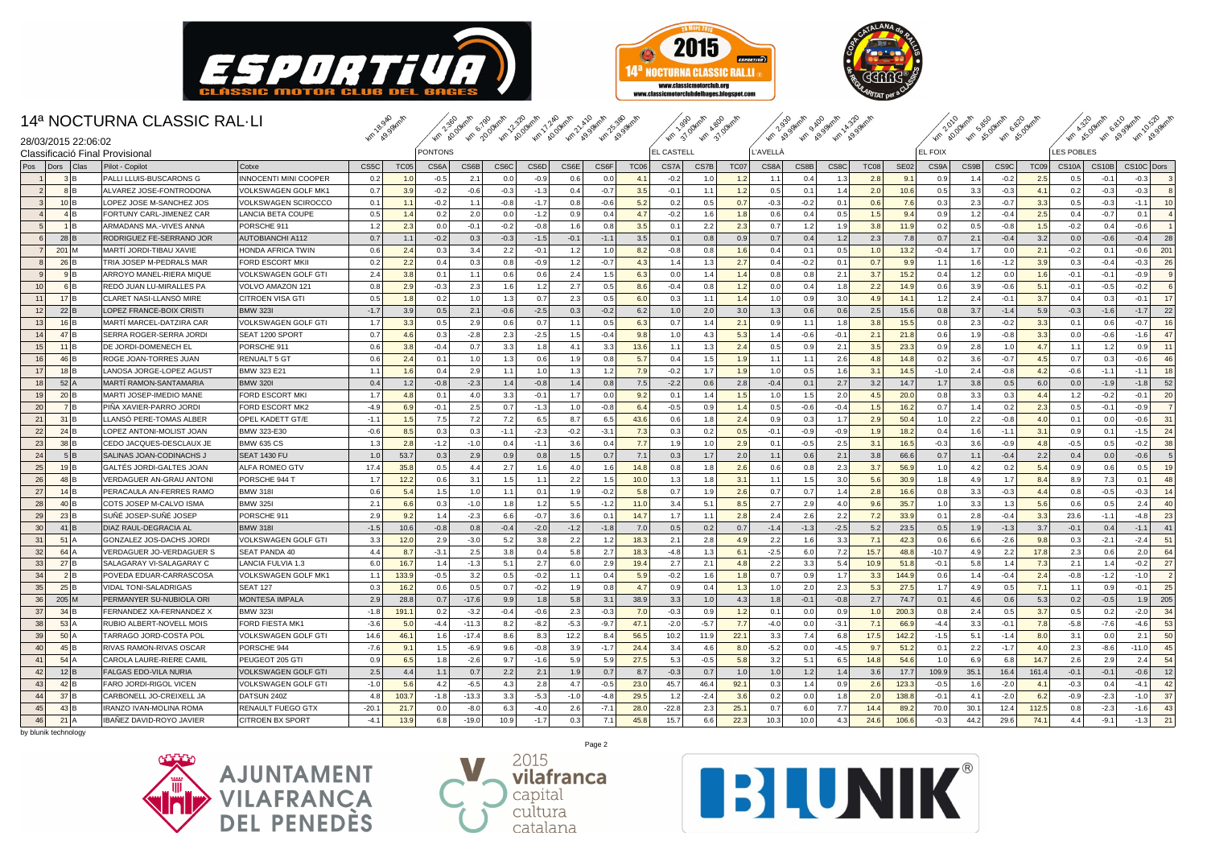



sanger and the same that the same and a same and the same and a same that a same and a same and a same a same t



## 14ª NOCTURNA CLASSIC RAL·LI

|                 | 28/03/2015 22:06:02            |      |                                 |                            | <b>AG</b> B.      |             | <b>Age</b> By |         |                   |        |        | <i>1w 10, 1w 10, 1w 10, 1w 10, 1w 10, 1w 10,</i> |                  | <b>AP 31</b>      | $46 \frac{3}{2}$ |      | <b>Ar 19.9</b> | <b>KG RO</b> | 46.8   |             |             | $\omega$<br>$\mathcal{P}$ |      | <b>40 AS 40 AS</b> |                  |                   | <b>AM AS AM ASS</b> | <b>AP</b> 29 |                |
|-----------------|--------------------------------|------|---------------------------------|----------------------------|-------------------|-------------|---------------|---------|-------------------|--------|--------|--------------------------------------------------|------------------|-------------------|------------------|------|----------------|--------------|--------|-------------|-------------|---------------------------|------|--------------------|------------------|-------------------|---------------------|--------------|----------------|
|                 |                                |      | Classificació Final Provisiona  |                            |                   |             | PONTONS       |         |                   |        |        |                                                  |                  | <b>EL CASTELL</b> |                  |      | L'AVELLA       |              |        |             |             | <b>EL FOIX</b>            |      |                    |                  | <b>LES POBLES</b> |                     |              |                |
| Pos             | Dors                           | Clas | Pilot - Copilot                 | Cotxe                      | CS <sub>5</sub> C | <b>TC05</b> | CS6A          | CS6B    | CS <sub>6</sub> C | CS6D   | CS6E   | CS6F                                             | TC <sub>06</sub> | CS7A              | CS7B             | TC07 | CS8A           | CS8B         | CS8C   | <b>TC08</b> | <b>SE02</b> | CS9A                      | CS9B | CS <sub>9</sub> C  | TC <sub>09</sub> | <b>CS10A</b>      | CS10B               | CS10C Dors   |                |
|                 | 3 B                            |      | PALLI LLUIS-BUSCARONS G         | NNOCENTI MINI COOPER       | 0.2               | 1.0         | $-0.5$        | 2.1     | 0.0               | $-0.9$ | 0.6    | 0.0                                              | 4.1              | $-0.2$            | 1.0              | 1.2  | 1.1            | 0.4          | 1.3    | 2.8         | 9.1         | 0.9                       | 1.4  | $-0.2$             | 2.5              | 0.5               | $-0.1$              | $-0.3$       | $\mathbf{3}$   |
| $\overline{2}$  | 8 B                            |      | ALVAREZ JOSE-FONTRODONA         | √OLKSWAGEN GOLF MK1        | 0.7               | 3.9         | $-0.2$        | $-0.6$  | $-0.3$            | $-1.3$ | 0.4    | $-0.7$                                           | 3.5              | $-0.1$            | 1.1              | 1.2  | 0.5            | 0.1          | 1.4    | 2.0         | 10.6        | 0.5                       | 3.3  | $-0.3$             | 4.1              | 0.2               | $-0.3$              | $-0.3$       | $\mathbf{g}$   |
| 3 <sup>1</sup>  | $10$ <sub>B</sub>              |      | LOPEZ JOSE M-SANCHEZ JOS        | <b>/OLKSWAGEN SCIROCCO</b> | 0.1               | 1.1         | $-0.2$        | 1.1     | $-0.8$            | $-1.7$ | 0.8    | $-0.6$                                           | 5.2              | 0.2               | 0.5              | 0.7  | $-0.3$         | $-0.2$       | 0.1    | 0.6         | 7.6         | 0.3                       | 2.3  | $-0.7$             | 3.3              | 0.5               | $-0.3$              | $-1.1$       | 10             |
| $\overline{4}$  | 4 B                            |      | FORTUNY CARL-JIMENEZ CAR        | ANCIA BETA COUPE           | 0.5               | 1.4         | 0.2           | 2.0     | 0.0               | $-1.2$ | 0.9    | 0.4                                              | 4.7              | $-0.2$            | 1.6              | 1.8  | 0.6            | 0.4          | 0.5    | 1.5         | 9.4         | 0.9                       | 1.2  | $-0.4$             | 2.5              | 0.4               | $-0.7$              | 0.1          |                |
|                 | $1$ B                          |      | ARMADANS MA.-VIVES ANNA         | PORSCHE 911                | 1.2               | 2.3         | 0.0           | $-0.1$  | $-0.2$            | $-0.8$ | 1.6    | 0.8                                              | 3.5              | 0.1               | 2.2              | 2.3  | 0.7            | 1.2          | 1.9    | 3.8         | 11.9        | 0.2                       | 0.5  | $-0.8$             | 1.5              | $-0.2$            | 0.4                 | $-0.6$       |                |
| 6               | $28$ B                         |      | RODRIGUEZ FE-SERRANO JOR        | <b>AUTOBIANCHI A112</b>    | 0.7               | 1.1         | $-0.2$        | 0.3     | $-0.3$            | $-1.5$ | $-0.1$ | $-1.1$                                           | 3.5              | 0.1               | 0.8              | 0.9  | 0.7            | 0.4          | 1.2    | 2.3         | 7.8         | 0.7                       | 2.1  | $-0.4$             | 3.2              | 0.0               | $-0.6$              | $-0.4$       | 28             |
| 7 <sup>1</sup>  | 201 M                          |      | MARTÍ JORDI-TIBAU XAVIE         | HONDA AFRICA TWIN          | 0.6               | 2.4         | 0.3           | 3.4     | 2.2               | $-0.1$ | 1.2    | 1.0                                              | 8.2              | $-0.8$            | 0.8              | 1.6  | 0.4            | 0.1          | 0.5    | 1.0         | 13.2        | $-0.4$                    | 1.7  | 0.0                | 2.1              | $-0.2$            | 0.1                 | $-0.6$       | 201            |
| $\mathbf{8}$    | 26 B                           |      | TRIA JOSEP M-PEDRALS MAR        | FORD ESCORT MKII           | 0.2               | 2.2         | 0.4           | 0.3     | 0.8               | $-0.9$ | 1.2    | $-0.7$                                           | 4.3              | 1.4               | 1.3              | 2.7  | 0.4            | $-0.2$       | 0.1    | 0.7         | 9.9         | 1.1                       | 1.6  | $-1.2$             | 3.9              | 0.3               | $-0.4$              | $-0.3$       | 26             |
|                 | 9 B                            |      | ARROYO MANEL-RIERA MIQUE        | /OLKSWAGEN GOLF GTI        | 2.4               | 3.8         | 0.1           | 1.1     | 0.6               | 0.6    | 2.4    | 1.5                                              | 6.3              | 0.0               | 1.4              | 1.4  | 0.8            | 0.8          | 2.1    | 3.7         | 15.2        | 0.4                       | 1.2  | 0.0                | 1.6              | $-0.1$            | $-0.1$              | $-0.9$       | 9              |
| 10 <sup>1</sup> | 6 B                            |      | REDO JUAN LU-MIRALLES PA        | VOLVO AMAZON 121           | 0.8               | 2.9         | $-0.3$        | 2.3     | 1.6               | 1.2    | 2.7    | 0.5                                              | 8.6              | $-0.4$            | 0.8              | 1.2  | 0.0            | 0.4          | 1.8    | 2.2         | 14.9        | 0.6                       | 3.9  | $-0.6$             | 5.1              | $-0.1$            | $-0.5$              | $-0.2$       | 6              |
| 11              | 17B                            |      | CLARET NASI-LLANSÓ MIRE         | CITROEN VISA GTI           | 0.5               | 1.8         | 0.2           | 1.0     | 1.3               | 0.7    | 2.3    | 0.5                                              | 6.0              | 0.3               | $-1.1$           | 1.4  | 1.0            | 0.9          | 3.0    | 4.9         | 14.1        | 1.2                       | 2.4  | $-0.1$             | 3.7              | 0.4               | 0.3                 | $-0.1$       | 17             |
| 12              | 22 B                           |      | <b>LOPEZ FRANCE-BOIX CRISTI</b> | <b>BMW 323I</b>            | $-1.7$            | 3.9         | 0.5           | 2.1     | $-0.6$            | $-2.5$ | 0.3    | $-0.2$                                           | 6.2              | 1.0               | 2.0              | 3.0  | 1.3            | 0.6          | 0.6    | 2.5         | 15.6        | 0.8                       | 3.7  | $-1.4$             | 5.9              | $-0.3$            | $-1.6$              | $-1.7$       | 22             |
| 13              | $16$ B                         |      | MARTÍ MARCEL-DATZIRA CAR        | VOLKSWAGEN GOLF GTI        | 1.7               | 3.3         | 0.5           | 2.9     | 0.6               | 0.7    | 1.1    | 0.5                                              | 6.3              | 0.7               | 1.4              | 2.1  | 0.9            | 1.1          | 1.8    | 3.8         | 15.5        | 0.8                       | 2.3  | $-0.2$             | 3.3              | 0.1               | 0.6                 | $-0.7$       | 16             |
| 14              | 47 B                           |      | SERRA ROGER-SERRA JORDI         | SEAT 1200 SPORT            | 0.7               | 4.6         | 0.3           | $-2.8$  | 2.3               | $-2.5$ | 1.5    | $-0.4$                                           | 9.8              | 1.0               | 4.3              | 5.3  | 1.4            | $-0.6$       | $-0.1$ | 2.1         | 21.8        | 0.6                       | 1.9  | $-0.8$             | 3.3              | 0.0               | $-0.6$              | $-1.6$       | 47             |
| 15              | $11$ <sub>B</sub>              |      | DE JORDI-DOMENECH EL            | PORSCHE 911                | 0.6               | 3.8         | $-0.4$        | 0.7     | 3.3               | 1.8    | 4.1    | 3.3                                              | 13.6             | 1.1               | 1.3              | 2.4  | 0.5            | 0.9          | 2.1    | 3.5         | 23.3        | 0.9                       | 2.8  | 1.0                | 4.7              | 1.1               | 1.2                 | 0.9          | 11             |
| 16              | 46 B                           |      | ROGE JOAN-TORRES JUAN           | <b>RENUALT 5 GT</b>        | 0.6               | 2.4         | 0.1           | 1.0     | 1.3               | 0.6    | 1.9    | 0.8                                              | 5.7              | 0.4               | 1.5              | 1.9  | 1.1            | 1.1          | 2.6    | 4.8         | 14.8        | 0.2                       | 3.6  | $-0.7$             | 4.5              | 0.7               | 0.3                 | $-0.6$       | 46             |
| 17              | $18$ <sub>B</sub>              |      | LANOSA JORGE-LOPEZ AGUST        | <b>BMW 323 E21</b>         | 1.1               | 1.6         | 0.4           | 2.9     | 1.1               | 1.0    | 1.3    | 1.2                                              | 7.9              | $-0.2$            | 1.7              | 1.9  | 1.0            | 0.5          | 1.6    | 3.1         | 14.5        | $-1.0$                    | 2.4  | $-0.8$             | 4.2              | $-0.6$            | $-1.1$              | $-1.1$       | 18             |
| 18              | $52$ <sup><math>A</math></sup> |      | MARTÍ RAMON-SANTAMARIA          | <b>BMW 320I</b>            | 0.4               | 1.2         | $-0.8$        | $-2.3$  | 1.4               | $-0.8$ | 1.4    | 0.8                                              | 7.5              | $-2.2$            | 0.6              | 2.8  | $-0.4$         | 0.1          | 2.7    | 3.2         | 14.7        | 1.7                       | 3.8  | 0.5                | 6.0              | 0.0               | $-1.9$              | $-1.8$       | 52             |
| 19              | 20 B                           |      | MARTI JOSEP-IMEDIO MANE         | FORD ESCORT MKI            | 1.7               | 4.8         | 0.1           | 4.0     | 3.3               | $-0.1$ | 1.7    | 0.0                                              | 9.2              | 0.1               | 1.4              | 1.5  | 1.0            | 1.5          | 2.0    | 4.5         | 20.0        | 0.8                       | 3.3  | 0.3                | 4.4              | 1.2               | $-0.2$              | $-0.1$       | 20             |
| 20              | 7B                             |      | PINA XAVIER-PARRO JORDI         | <b>FORD ESCORT MK2</b>     | $-4.9$            | 6.9         | $-0.1$        | 2.5     | 0.7               | $-1.3$ | 1.0    | $-0.8$                                           | 6.4              | $-0.5$            | 0.9              | 1.4  | 0.5            | $-0.6$       | $-0.4$ | 1.5         | 16.2        | 0.7                       | 1.4  | 0.2                | 2.3              | 0.5               | $-0.1$              | $-0.9$       | $\overline{7}$ |
| 21              | $31$ <sub>B</sub>              |      | LLANSO PERE-TOMAS ALBER         | OPEL KADETT GT/E           | $-1.1$            | 1.5         | 7.5           | 7.2     | 7.2               | 6.5    | 8.7    | 6.5                                              | 43.6             | 0.6               | 1.8              | 2.4  | 0.9            | 0.3          | 1.7    | 2.9         | 50.4        | 1.0                       | 2.2  | $-0.8$             | 4.0              | 0.1               | 0.0                 | $-0.6$       | 31             |
| 22              | $24$ <sub>B</sub>              |      | LOPEZ ANTONI-MOLIST JOAN        | BMW 323-E30                | $-0.6$            | 8.5         | 0.3           | 0.3     | $-1.1$            | $-2.3$ | $-0.2$ | $-3.1$                                           | 7.3              | 0.3               | 0.2              | 0.5  | $-0.1$         | $-0.9$       | $-0.9$ | 1.9         | 18.2        | 0.4                       | 1.6  | $-1.1$             | 3.1              | 0.9               | 0.1                 | $-1.5$       | 24             |
| 23              | $38$ <sub>B</sub>              |      | CEDO JACQUES-DESCLAUX JE        | <b>BMW 635 CS</b>          | 1.3               | 2.8         | $-1.2$        | $-1.0$  | 0.4               | $-1.1$ | 3.6    | 0.4                                              | 7.7              | 1.9               | 1.0              | 2.9  | 0.1            | $-0.5$       | 2.5    | 3.1         | 16.5        | $-0.3$                    | 3.6  | $-0.9$             | 4.8              | $-0.5$            | 0.5                 | $-0.2$       | 38             |
| 24              | 5 B                            |      | SALINAS JOAN-CODINACHS J        | SEAT 1430 FU               | 1.0               | 53.7        | 0.3           | 2.9     | 0.9               | 0.8    | 1.5    | 0.7                                              | 7.1              | 0.3               | 1.7              | 2.0  | 1.1            | 0.6          | 2.1    | 3.8         | 66.6        | 0.7                       | 1.1  | $-0.4$             | 2.2              | 0.4               | 0.0                 | $-0.6$       | -5             |
| 25              | $19$ <sup>B</sup>              |      | GALTES JORDI-GALTES JOAN        | ALFA ROMEO GTV             | 17.4              | 35.8        | 0.5           | 4.4     | 2.7               | 1.6    | 4.0    | 1.6                                              | 14.8             | 0.8               | 1.8              | 2.6  | 0.6            | 0.8          | 2.3    | 3.7         | 56.9        | 1.0                       | 4.2  | 0.2                | 5.4              | 0.9               | 0.6                 | 0.5          | 19             |
| 26              | $48$ B                         |      | VERDAGUER AN-GRAU ANTONI        | PORSCHE 944 T              | 1.7               | 12.2        | 0.6           | 3.1     | 1.5               | 1.1    | 2.2    | 1.5                                              | 10.0             | 1.3               | 1.8              | 3.1  | 1.1            | 1.5          | 3.0    | 5.6         | 30.9        | 1.8                       | 4.9  | 1.7                | 8.4              | 8.9               | 7.3                 | 0.1          | 48             |
| 27              | $14$ <sub>B</sub>              |      | PERACAULA AN-FERRES RAMO        | <b>BMW 318</b>             | 0.6               | 5.4         | 1.5           | 1.0     | 1.1               | 0.1    | 1.9    | $-0.2$                                           | 5.8              | 0.7               | 1.9              | 2.6  | 0.7            | 0.7          | 1.4    | 2.8         | 16.6        | 0.8                       | 3.3  | $-0.3$             | 4.4              | 0.8               | $-0.5$              | $-0.3$       | 14             |
| 28              | $40$ <sub>B</sub>              |      | COTS JOSEP M-CALVO ISMA         | <b>BMW 325I</b>            | 2.1               | 6.6         | 0.3           | $-1.0$  | 1.8               | 1.2    | 5.5    | $-1.2$                                           | 11.0             | 3.4               | 5.1              | 8.5  | 2.7            | 2.9          | 4.0    | 9.6         | 35.7        | 1.0                       | 3.3  | 1.3                | 5.6              | 0.6               | 0.5                 | 2.4          | 40             |
| 29              | $23$ <sub>B</sub>              |      | SUNE JOSEP-SUNE JOSEP           | PORSCHE 911                | 2.9               | 9.2         | 1.4           | $-2.3$  | 6.6               | $-0.7$ | 3.6    | 0.1                                              | 14.7             | 1.7               | 1.1              | 2.8  | 2.4            | 2.6          | 2.2    | 7.2         | 33.9        | 0.1                       | 2.8  | $-0.4$             | 3.3              | 23.6              | $-1.1$              | $-4.8$       | 23             |
| 30              | $41$ B                         |      | DIAZ RAUL-DEGRACIA AL           | <b>BMW 318</b>             | $-1.5$            | 10.6        | $-0.8$        | 0.8     | $-0.4$            | $-2.0$ | $-1.2$ | $-1.8$                                           | 7.0              | 0.5               | 0.2              | 0.7  | $-1.4$         | $-1.3$       | $-2.5$ | 5.2         | 23.5        | 0.5                       | 1.9  | $-1.3$             | 3.7              | $-0.1$            | 0.4                 | $-1.1$       | 41             |
| 31              | $51$ <sup><math>A</math></sup> |      | GONZALEZ JOS-DACHS JORDI        | VOLKSWAGEN GOLF GTI        | 3.3               | 12.0        | 2.9           | $-3.0$  | 5.2               | 3.8    | 2.2    | 1.2                                              | 18.3             | 2.1               | 2.8              | 4.9  | 2.2            | 1.6          | 3.3    | 7.1         | 42.3        | 0.6                       | 6.6  | $-2.6$             | 9.8              | 0.3               | $-2.1$              | $-2.4$       | 51             |
| 32              | 64A                            |      | VERDAGUER JO-VERDAGUER S        | <b>SEAT PANDA 40</b>       | 4.4               | 8.7         | $-3.1$        | 2.5     | 3.8               | 0.4    | 5.8    | 2.7                                              | 18.3             | $-4.8$            | 1.3              | 6.7  | $-2.5$         | 6.0          | 7.2    | 15.7        | 48.8        | $-10.7$                   | 4.9  | 2.2                | 17.8             | 2.3               | 0.6                 | 2.0          | 64             |
| 33              | 27B                            |      | SALAGARAY VI-SALAGARAY C        | LANCIA FULVIA 1.3          | 6.0               | 16.7        | 1.4           | $-1.3$  | 5.1               | 2.7    | 6.0    | 2.9                                              | 19.4             | 2.7               | 2.1              | 4.8  | 2.2            | 3.3          | 5.4    | 10.9        | 51.8        | $-0.1$                    | 5.8  | 1.4                | 7.3              | 2.1               | 1.4                 | $-0.2$       | 27             |
| 34              | 2 B                            |      | POVEDA EDUAR-CARRASCOSA         | <b>/OLKSWAGEN GOLF MK1</b> | 1.1               | 133.9       | $-0.5$        | 3.2     | 0.5               | $-0.2$ | 1.1    | 0.4                                              | 5.9              | $-0.2$            | 1.6              | 1.8  | 0.7            | 0.9          | 1.7    | 3.3         | 144.9       | 0.6                       | 1.4  | $-0.4$             | 2.4              | $-0.8$            | $-1.2$              | $-1.0$       | $\overline{2}$ |
| 35              | 25 B                           |      | VIDAL TONI-SALADRIGAS           | <b>SEAT 127</b>            | 0.3               | 16.2        | 0.6           | 0.5     | 0.7               | $-0.2$ | 1.9    | 0.8                                              | 4.7              | 0.9               | 0.4              | 1.3  | 1.0            | 2.0          | 2.3    | 5.3         | 27.5        | 1.7                       | 4.9  | 0.5                | 7.1              | 1.1               | 0.9                 | $-0.1$       | 25             |
| 36              | $205$ M                        |      | PERMANYER SU-NUBIOLA ORI        | <b>MONTESA IMPALA</b>      | 2.9               | 28.8        | 0.7           | $-17.6$ | 9.9               | 1.8    | 5.8    | 3.1                                              | 38.9             | 3.3               | 1.0              | 4.3  | 1.8            | $-0.1$       | $-0.8$ | 2.7         | 74.7        | 0.1                       | 4.6  | 0.6                | 5.3              | 0.2               | $-0.5$              | 1.9          | 205            |
| 37              | $34$ <sub>B</sub>              |      | FERNANDEZ XA-FERNANDEZ X        | <b>BMW 323I</b>            | $-1.8$            | 191.7       | 0.2           | $-3.2$  | $-0.4$            | $-0.6$ | 2.3    | $-0.3$                                           | 7.0              | $-0.3$            | 0.9              | 1.2  | 0.1            | 0.0          | 0.9    | 1.0         | 200.3       | 0.8                       | 2.4  | 0.5                | 3.7              | 0.5               | 0.2                 | $-2.0$       | 34             |
| 38              | $53$ A                         |      | RUBIO ALBERT-NOVELL MOIS        | <b>FORD FIESTA MK1</b>     | $-3.6$            | 5.0         | $-4.4$        | $-11.3$ | 8.2               | $-8.2$ | $-5.3$ | $-9.7$                                           | 47.1             | $-2.0$            | $-5.7$           | 7.7  | $-4.0$         | 0.0          | $-3.1$ | 7.1         | 66.9        | $-4.4$                    | 3.3  | $-0.1$             | 7.8              | $-5.8$            | $-7.6$              | $-4.6$       | 53             |
| 39              | $50$ A                         |      | TARRAGO JORD-COSTA POL          | VOLKSWAGEN GOLF GTI        | 14.6              | 46.1        | 1.6           | $-17.4$ | 8.6               | 8.3    | 12.2   | 8.4                                              | 56.5             | 10.2              | 11.9             | 22.1 | 3.3            | 7.4          | 6.8    | 17.5        | 142.2       | $-1.5$                    | 5.1  | $-1.4$             | 8.0              | 3.1               | 0.0                 | 2.1          | 50             |
| 40              | $45$ <sub>B</sub>              |      | RIVAS RAMON-RIVAS OSCAR         | PORSCHE 944                | $-7.6$            | 9.1         | 1.5           | $-6.9$  | 9.6               | $-0.8$ | 3.9    | $-1.7$                                           | 24.4             | 3.4               | 4.6              | 8.0  | $-5.2$         | 0.0          | $-4.5$ | 9.7         | 51.2        | 0.1                       | 2.2  | $-1.7$             | 4.0              | 2.3               | $-8.6$              | $-11.0$      | 45             |
| 41              | $54$ $A$                       |      | CAROLA LAURE-RIERE CAMIL        | PEUGEOT 205 GTI            | 0.9               | 6.5         | 1.8           | $-2.6$  | 9.7               | $-1.6$ | 5.9    | 5.9                                              | 27.5             | 5.3               | $-0.5$           | 5.8  | 3.2            | 5.1          | 6.5    | 14.8        | 54.6        | 1.0                       | 6.9  | 6.8                | 14.7             | 2.6               | 2.9                 | 2.4          | 54             |
| 42              | $12$ <sub>B</sub>              |      | <b>FALGAS EDO-VILA NURIA</b>    | <b>/OLKSWAGEN GOLF GTI</b> | 2.5               | 4.4         | 1.1           | 0.7     | 2.2               | 2.1    | 1.9    | 0.7                                              | 8.7              | $-0.3$            | 0.7              | 1.0  | 1.0            | 1.2          | 1.4    | 3.6         | 17.7        | 109.9                     | 35.7 | 16.4               | 161.4            | $-0.1$            | $-0.1$              | $-0.6$       | 12             |
| 43              | $42$ B                         |      | FARO JORDI-RIGOL VICEN          | VOLKSWAGEN GOLF GTI        | $-1.0$            | 5.6         | 4.2           | $-6.5$  | 4.3               | 2.8    | 4.7    | $-0.5$                                           | 23.0             | 45.7              | 46.4             | 92.1 | 0.3            | 1.4          | 0.9    | 2.6         | 123.3       | $-0.5$                    | 1.6  | $-2.0$             | 4.1              | $-0.3$            | 0.4                 | $-4.1$       | 42             |
| 44              | 37B                            |      | CARBONELL JO-CREIXELL JA        | DATSUN 240Z                | 4.8               | 103.7       | $-1.8$        | $-13.3$ | 3.3               | $-5.3$ | $-1.0$ | $-4.8$                                           | 29.5             | 1.2               | $-2.4$           | 3.6  | 0.2            | 0.0          | 1.8    | 2.0         | 138.8       | $-0.1$                    | 4.1  | $-2.0$             | 6.2              | $-0.9$            | $-2.3$              | $-1.0$       | 37             |
| 45              | $43$ <sub>B</sub>              |      | IRANZO IVAN-MOLINA ROMA         | <b>RENAULT FUEGO GTX</b>   | $-20.1$           | 21.7        | 0.0           | $-8.0$  | 6.3               | $-4.0$ | 2.6    | $-7.1$                                           | 28.0             | $-22.8$           | 2.3              | 25.1 | 0.7            | 6.0          | 7.7    | 14.4        | 89.2        | 70.0                      | 30.1 | 12.4               | 112.5            | 0.8               | $-2.3$              | $-1.6$       | 43             |
| 46              | $21$ A                         |      | IBAÑEZ DAVID-ROYO JAVIER        | <b>CITROEN BX SPORT</b>    | $-4.1$            | 13.9        | 6.8           | $-19.0$ | 10.9              | $-1.7$ | 0.3    | 7.1                                              | 45.8             | 15.7              | 6.6              | 22.3 | 10.3           | 10.0         | 4.3    | 24.6        | 106.6       | $-0.3$                    | 44.2 | 29.6               | 74.1             | 4.4               | $-9.1$              | $-1.3$       | 21             |





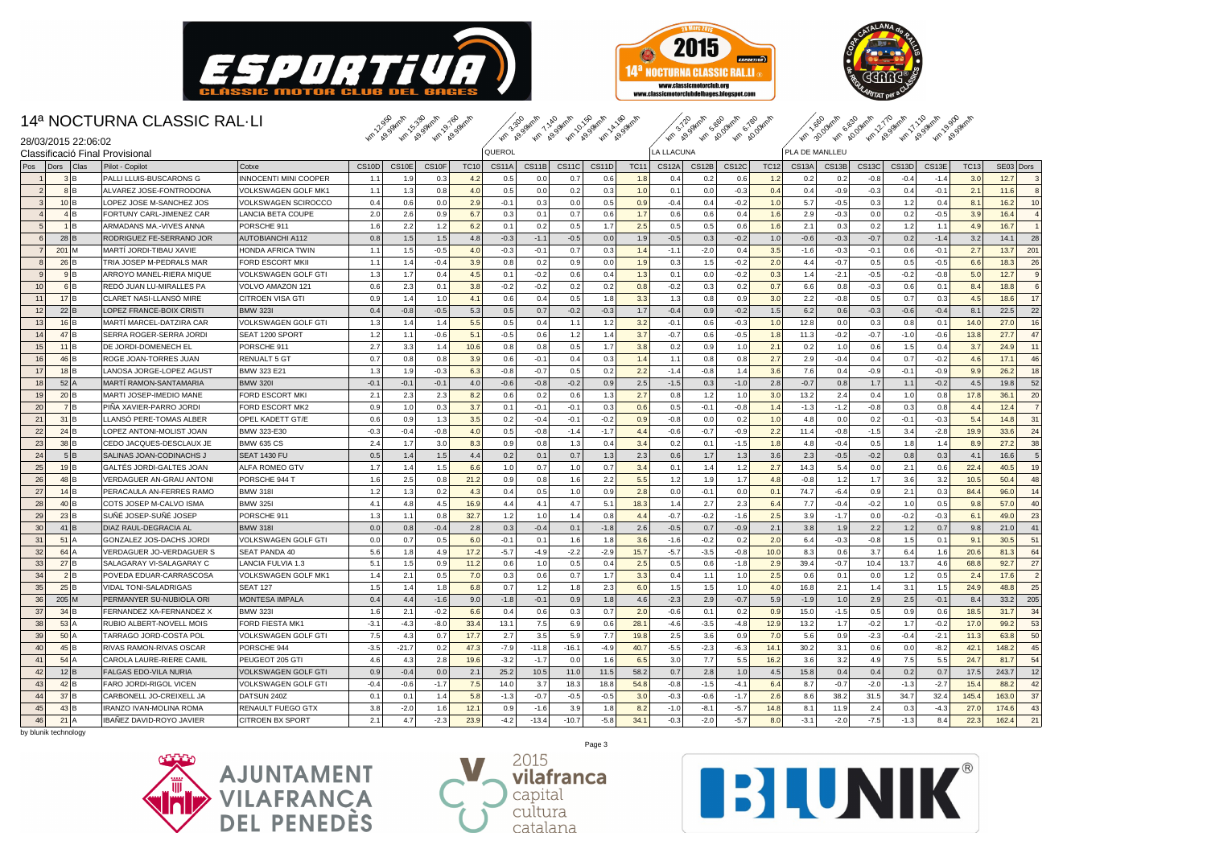





|                                                        | 14ª NOCTURNA CLASSIC RAL-LI    |                         |        | Km 1295 Juni 15-39 Hm 1, 9.169 Hm |         |             |              |         |         | Arth 29.39 Act 1, 29.34 Apr 20.394 Apr 20.394 Apr |             |              | Km 3.72 swain 5.89 drain 6.78 drain |              |             |                |        |              | to 30 dry 6 83 dry 21 dry 1 1 0 dry 1 1 0 dry 8 9 dry |        |             |                        |
|--------------------------------------------------------|--------------------------------|-------------------------|--------|-----------------------------------|---------|-------------|--------------|---------|---------|---------------------------------------------------|-------------|--------------|-------------------------------------|--------------|-------------|----------------|--------|--------------|-------------------------------------------------------|--------|-------------|------------------------|
| 28/03/2015 22:06:02<br>Classificació Final Provisional |                                |                         |        |                                   |         |             | QUEROL       |         |         |                                                   |             | LA LLACUNA   |                                     |              |             | PLA DE MANLLEU |        |              |                                                       |        |             |                        |
| Pos<br>Dors<br><b>Clas</b>                             | Pilot - Copilot                | Cotxe                   | CS10D  | CS10E                             | CS10F   | <b>TC10</b> | <b>CS11A</b> | CS11B   | CS11C   | CS11D                                             | <b>TC11</b> | <b>CS12A</b> | CS12B                               | <b>CS12C</b> | <b>TC12</b> | <b>CS13A</b>   | CS13B  | <b>CS13C</b> | CS13D                                                 | CS13E  | <b>TC13</b> | SE03 Dors              |
| 3 B                                                    | PALLI LLUIS-BUSCARONS G        | INNOCENTI MINI COOPER   | 1.1    | 1.9                               | 0.3     | 4.2         | 0.5          | 0.0     | 0.7     | 0.6                                               | 1.8         | 0.4          | 0.2                                 | 0.6          | 1.2         | 0.2            | 0.2    | $-0.8$       | $-0.4$                                                | $-1.4$ | 3.0         | 12.7                   |
| 8 B<br>$\overline{2}$                                  | ALVAREZ JOSE-FONTRODONA        | VOLKSWAGEN GOLF MK1     | 1.1    | 1.3                               | 0.8     | 4.0         | 0.5          | 0.0     | 0.2     | 0.3                                               | 1.0         | 0.1          | 0.0                                 | $-0.3$       | 0.4         | 0.4            | $-0.9$ | $-0.3$       | 0.4                                                   | $-0.1$ | 2.1         | 8<br>11.6              |
| $10$ <sub>B</sub><br>$\mathbf{3}$                      | LOPEZ JOSE M-SANCHEZ JOS       | VOLKSWAGEN SCIROCCC     | 0.4    | 0.6                               | 0.0     | 2.9         | $-0.1$       | 0.3     | 0.0     | 0.5                                               | 0.9         | $-0.4$       | 0.4                                 | $-0.2$       | 1.0         | 5.7            | $-0.5$ | 0.3          | 1.2                                                   | 0.4    | 8.1         | 10<br>16.2             |
| 4 B                                                    | FORTUNY CARL-JIMENEZ CAR       | LANCIA BETA COUPE       | 2.0    | 2.6                               | 0.9     | 6.7         | 0.3          | 0.1     | 0.7     | 0.6                                               | 1.7         | 0.6          | 0.6                                 | 0.4          | 1.6         | 2.9            | $-0.3$ | 0.0          | 0.2                                                   | $-0.5$ | 3.9         | $\overline{a}$<br>16.4 |
| 1 B                                                    | ARMADANS MA.-VIVES ANNA        | PORSCHE 911             | 1.6    | 2.2                               | 1.2     | 6.2         | 0.1          | 0.2     | 0.5     | 1.7                                               | 2.5         | 0.5          | 0.5                                 | 0.6          | 1.6         | 2.1            | 0.3    | 0.2          | 1.2                                                   | 1.1    | 4.9         | 16.7                   |
| 28 B                                                   | RODRIGUEZ FE-SERRANO JOR       | <b>AUTOBIANCHI A112</b> | 0.8    | 1.5                               | 1.5     | 4.8         | $-0.3$       | $-1.1$  | $-0.5$  | 0.0                                               | 1.9         | $-0.5$       | 0.3                                 | $-0.2$       | 1.0         | $-0.6$         | $-0.3$ | $-0.7$       | 0.2                                                   | $-1.4$ | 3.2         | 28<br>14.1             |
| $201$ M                                                | MARTÍ JORDI-TIBAU XAVIE        | HONDA AFRICA TWIN       | 1.1    | 1.5                               | $-0.5$  | 4.0         | $-0.3$       | $-0.1$  | 0.7     | 0.3                                               | 1.4         | $-1.1$       | $-2.0$                              | 0.4          | 3.5         | $-1.6$         | $-0.3$ | $-0.1$       | 0.6                                                   | $-0.1$ | 2.7         | 13.7<br>201            |
| 26 B                                                   | TRIA JOSEP M-PEDRALS MAR       | FORD ESCORT MKII        | 1.1    | 1.4                               | $-0.4$  | 3.9         | 0.8          | 0.2     | 0.9     | 0.0                                               | 1.9         | 0.3          | 1.5                                 | $-0.2$       | 2.0         | 4.4            | $-0.7$ | 0.5          | 0.5                                                   | $-0.5$ | 6.6         | 26<br>18.3             |
| 9 B                                                    | ARROYO MANEL-RIERA MIQUE       | VOLKSWAGEN GOLF GTI     | 1.3    | 1.7                               | 0.4     | 4.5         | 0.1          | $-0.2$  | 0.6     | 0.4                                               | 1.3         | 0.1          | 0.0                                 | $-0.2$       | 0.3         | 1.4            | $-2.1$ | $-0.5$       | $-0.2$                                                | $-0.8$ | 5.0         | 9<br>12.7              |
| 6 B<br>10                                              | REDÓ JUAN LU-MIRALLES PA       | VOLVO AMAZON 121        | 0.6    | 2.3                               | 0.1     | 3.8         | $-0.2$       | $-0.2$  | 0.2     | 0.2                                               | 0.8         | $-0.2$       | 0.3                                 | 0.2          | 0.7         | 6.6            | 0.8    | $-0.3$       | 0.6                                                   | 0.1    | 8.4         | 6<br>18.8              |
| $17$ B<br>11                                           | CLARET NASI-LLANSÓ MIRE        | CITROEN VISA GTI        | 0.9    | 1.4                               | 1.0     | 4.1         | 0.6          | 0.4     | 0.5     | 1.8                                               | 3.3         | 1.3          | 0.8                                 | 0.9          | 3.0         | 2.2            | $-0.8$ | 0.5          | 0.7                                                   | 0.3    | 4.5         | 17<br>18.6             |
| 22 B<br>12                                             | LOPEZ FRANCE-BOIX CRISTI       | <b>BMW 3231</b>         | 0.4    | $-0.8$                            | $-0.5$  | 5.3         | 0.5          | 0.7     | $-0.2$  | $-0.3$                                            | 1.7         | $-0.4$       | 0.9                                 | $-0.2$       | 1.5         | 6.2            | 0.6    | $-0.3$       | $-0.6$                                                | $-0.4$ | 8.1         | 22.5<br>$22\,$         |
| 13<br>$16$ <sup>B</sup>                                | MARTÍ MARCEL-DATZIRA CAR       | VOLKSWAGEN GOLF GTI     | 1.3    | 1.4                               | 1.4     | 5.5         | 0.5          | 0.4     | 1.1     | 1.2                                               | 3.2         | $-0.1$       | 0.6                                 | $-0.3$       | 1.0         | 12.8           | 0.0    | 0.3          | 0.8                                                   | 0.1    | 14.0        | 16<br>27.0             |
| $47$ B<br>14                                           | SERRA ROGER-SERRA JORDI        | SEAT 1200 SPORT         | 1.2    | 1.1                               | $-0.6$  | 5.1         | $-0.5$       | 0.6     | 1.2     | 1.4                                               | 3.7         | $-0.7$       | 0.6                                 | $-0.5$       | 1.8         | 11.3           | $-0.2$ | $-0.7$       | $-1.0$                                                | $-0.6$ | 13.8        | 47<br>27.7             |
| 15<br>$11$ <sub>B</sub>                                | DE JORDI-DOMENECH EL           | PORSCHE 911             | 2.7    | 3.3                               | 1.4     | 10.6        | 0.8          | 0.8     | 0.5     | 1.7                                               | 3.8         | 0.2          | 0.9                                 | 1.0          | 2.1         | 0.2            | 1.0    | 0.6          | 1.5                                                   | 0.4    | 3.7         | 11<br>24.9             |
| $46$ B<br>16                                           | <b>ROGE JOAN-TORRES JUAN</b>   | RENUALT 5 G1            | 0.7    | 0.8                               | 0.8     | 3.9         | 0.6          | $-0.1$  | 0.4     | 0.3                                               | 1.4         | 1.1          | 0.8                                 | 0.8          | 2.7         | 2.9            | $-0.4$ | 0.4          | 0.7                                                   | $-0.2$ | 4.6         | 46<br>17.1             |
| $18$ B<br>17                                           | LANOSA JORGE-LOPEZ AGUST       | BMW 323 E21             | 1.3    | 1.9                               | $-0.3$  | 6.3         | $-0.8$       | $-0.7$  | 0.5     | 0.2                                               | 2.2         | $-1.4$       | $-0.8$                              | 1.4          | 3.6         | 7.6            | 0.4    | $-0.9$       | $-0.1$                                                | $-0.9$ | 9.9         | 18<br>26.2             |
| $52$ A<br>18                                           | MARTI RAMON-SANTAMARIA         | <b>BMW 320I</b>         | $-0.1$ | $-0.1$                            | $-0.1$  | 4.0         | $-0.6$       | $-0.8$  | $-0.2$  | 0.9                                               | 2.5         | $-1.5$       | 0.3                                 | $-1.0$       | 2.8         | $-0.7$         | 0.8    | 1.7          | 1.1                                                   | $-0.2$ | 4.5         | 52<br>19.8             |
| $20$ <sub>B</sub><br>19                                | MARTI JOSEP-IMEDIO MANE        | FORD ESCORT MKI         | 2.1    | 2.3                               | 2.3     | 8.2         | 0.6          | 0.2     | 0.6     | 1.3                                               | 2.7         | 0.8          | 1.2                                 | 1.0          | 3.0         | 13.2           | 2.4    | 0.4          | 1.0                                                   | 0.8    | 17.8        | 20<br>36.1             |
| 7B<br>20                                               | PIÑA XAVIER-PARRO JORDI        | FORD ESCORT MK2         | 0.9    | 1.0                               | 0.3     | 3.7         | 0.1          | $-0.1$  | $-0.1$  | 0.3                                               | 0.6         | 0.5          | $-0.1$                              | $-0.8$       | 1.4         | $-1.3$         | $-1.2$ | $-0.8$       | 0.3                                                   | 0.8    | 4.4         | $\overline{7}$<br>12.4 |
| $31$ B<br>21                                           | LLANSÓ PERE-TOMAS ALBER        | OPEL KADETT GT/E        | 0.6    | 0.9                               | 1.3     | 3.5         | 0.2          | $-0.4$  | $-0.1$  | $-0.2$                                            | 0.9         | $-0.8$       | 0.0                                 | 0.2          | 1.0         | 4.8            | 0.0    | 0.2          | $-0.1$                                                | $-0.3$ | 5.4         | 31<br>14.8             |
| $24$ <sub>B</sub><br>22                                | LOPEZ ANTONI-MOLIST JOAN       | BMW 323-E30             | $-0.3$ | $-0.4$                            | $-0.8$  | 4.0         | 0.5          | $-0.8$  | $-1.4$  | $-1.7$                                            | 4.4         | $-0.6$       | $-0.7$                              | $-0.9$       | 2.2         | 11.4           | $-0.8$ | $-1.5$       | 3.4                                                   | $-2.8$ | 19.9        | 24<br>33.6             |
| $38$ B<br>23                                           | CEDO JACQUES-DESCLAUX JE       | <b>BMW 635 CS</b>       | 2.4    | 1.7                               | 3.0     | 8.3         | 0.9          | 0.8     | 1.3     | 0.4                                               | 3.4         | 0.2          | 0.1                                 | $-1.5$       | 1.8         | 4.8            | $-0.4$ | 0.5          | 1.8                                                   | 1.4    | 8.9         | 38<br>27.2             |
| 5 B<br>24                                              | SALINAS JOAN-CODINACHS J       | <b>SEAT 1430 FU</b>     | 0.5    | 1.4                               | $1.5\,$ | 4.4         | 0.2          | 0.1     | 0.7     | 1.3                                               | 2.3         | 0.6          | 1.7                                 | 1.3          | 3.6         | 2.3            | $-0.5$ | $-0.2$       | 0.8                                                   | 0.3    | 4.1         | 16.6<br>5              |
| $19$ <sub>B</sub><br>25                                | GALTÉS JORDI-GALTES JOAN       | ALFA ROMEO GTV          | 1.7    | 1.4                               | 1.5     | 6.6         | 1.0          | 0.7     | 1.0     | 0.7                                               | 3.4         | 0.1          | 1.4                                 | 1.2          | 2.7         | 14.3           | 5.4    | 0.0          | 2.1                                                   | 0.6    | 22.4        | 19<br>40.5             |
| $48$ B<br>26                                           | VERDAGUER AN-GRAU ANTONI       | PORSCHE 944 T           | 1.6    | 2.5                               | 0.8     | 21.2        | 0.9          | 0.8     | 1.6     | 2.2                                               | 5.5         | 1.2          | 1.9                                 | 1.7          | 4.8         | $-0.8$         | 1.2    | 1.7          | 3.6                                                   | 3.2    | 10.5        | 48<br>50.4             |
| 27<br>$14$ B                                           | PERACAULA AN-FERRES RAMO       | <b>BMW 318</b>          | 1.2    | 1.3                               | 0.2     | 4.3         | 0.4          | 0.5     | 1.0     | 0.9                                               | 2.8         | 0.0          | $-0.1$                              | 0.0          | 0.1         | 74.7           | $-6.4$ | 0.9          | 2.1                                                   | 0.3    | 84.4        | 14<br>96.0             |
| $40$ <sub>B</sub><br>28                                | COTS JOSEP M-CALVO ISMA        | <b>BMW 3251</b>         | 4.1    | 4.8                               | 4.5     | 16.9        | 4.4          | 4.1     | 4.7     | 5.1                                               | 18.3        | 1.4          | 2.7                                 | 2.3          | 6.4         | 7.7            | $-0.4$ | $-0.2$       | 1.0                                                   | 0.5    | 9.8         | 40<br>57.0             |
| $23$ B<br>29                                           | SUÑÉ JOSEP-SUÑÉ JOSEP          | PORSCHE 911             | 1.3    | 1.1                               | 0.8     | 32.7        | $1.2$        | 1.0     | 1.4     | 0.8                                               | 4.4         | $-0.7$       | $-0.2$                              | $-1.6$       | 2.5         | 3.9            | $-1.7$ | 0.0          | $-0.2$                                                | $-0.3$ | 6.1         | 23<br>49.0             |
| 41 B<br>30                                             | DIAZ RAUL-DEGRACIA AL          | <b>BMW 318I</b>         | 0.0    | 0.8                               | $-0.4$  | 2.8         | 0.3          | $-0.4$  | 0.1     | $-1.8$                                            | 2.6         | $-0.5$       | 0.7                                 | $-0.9$       | 2.1         | 3.8            | 1.9    | 2.2          | 1.2                                                   | 0.7    | 9.8         | 41<br>21.0             |
| $51$ A<br>31                                           | GONZALEZ JOS-DACHS JORDI       | VOLKSWAGEN GOLF GTI     | 0.0    | 0.7                               | 0.5     | 6.0         | $-0.1$       | 0.1     | 1.6     | 1.8                                               | 3.6         | $-1.6$       | $-0.2$                              | 0.2          | 2.0         | 6.4            | $-0.3$ | $-0.8$       | 1.5                                                   | 0.1    | 9.1         | 51<br>30.5             |
| 32<br>$64$ A                                           | VERDAGUER JO-VERDAGUER S       | <b>SEAT PANDA 40</b>    | 5.6    | 1.8                               | 4.9     | 17.2        | $-5.7$       | $-4.9$  | $-2.2$  | $-2.9$                                            | 15.7        | $-5.7$       | $-3.5$                              | $-0.8$       | 10.0        | 8.3            | 0.6    | 3.7          | 6.4                                                   | 1.6    | 20.6        | 64<br>81.3             |
| 27B<br>33                                              | SALAGARAY VI-SALAGARAY C       | LANCIA FULVIA 1.3       | 5.1    | 1.5                               | 0.9     | 11.2        | 0.6          | 1.0     | 0.5     | 0.4                                               | 2.5         | 0.5          | 0.6                                 | $-1.8$       | 2.9         | 39.4           | $-0.7$ | 10.4         | 13.7                                                  | 4.6    | 68.8        | 27<br>92.7             |
| 2 B<br>34                                              | POVEDA EDUAR-CARRASCOSA        | VOLKSWAGEN GOLF MK1     | 1.4    | 2.1                               | 0.5     | 7.0         | 0.3          | 0.6     | 0.7     | 1.7                                               | 3.3         | 0.4          | 1.1                                 | 1.0          | 2.5         | 0.6            | 0.1    | 0.0          | 1.2                                                   | 0.5    | 2.4         | $\overline{2}$<br>17.6 |
| 25 B<br>35                                             | VIDAL TONI-SALADRIGAS          | <b>SEAT 127</b>         | 1.5    | 1.4                               | 1.8     | 6.8         | 0.7          | 1.2     | 1.8     | 2.3                                               | 6.0         | 1.5          | 1.5                                 | 1.0          | 4.0         | 16.8           | 2.1    | 1.4          | 3.1                                                   | 1.5    | 24.9        | 25<br>48.8             |
| $205$ M<br>36                                          | PERMANYER SU-NUBIOLA ORI       | MONTESA IMPALA          | 0.4    | 4.4                               | $-1.6$  | 9.0         | $-1.8$       | $-0.1$  | 0.9     | 1.8                                               | 4.6         | $-2.3$       | 2.9                                 | $-0.7$       | 5.9         | $-1.9$         | 1.0    | 2.9          | 2.5                                                   | $-0.1$ | 8.4         | 205<br>33.2            |
| 37<br>$34$ B                                           | FERNANDEZ XA-FERNANDEZ X       | <b>BMW 3231</b>         | 1.6    | 2.1                               | $-0.2$  | 6.6         | 0.4          | 0.6     | 0.3     | 0.7                                               | 2.0         | $-0.6$       | 0.1                                 | 0.2          | 0.9         | 15.0           | $-1.5$ | 0.5          | 0.9                                                   | 0.6    | 18.5        | 34<br>31.7             |
| $53$ A<br>38                                           | RUBIO ALBERT-NOVELL MOIS       | <b>FORD FIESTA MK1</b>  | $-3.1$ | $-4.3$                            | $-8.0$  | 33.4        | 13.1         | 7.5     | 6.9     | 0.6                                               | 28.7        | $-4.6$       | $-3.5$                              | $-4.8$       | 12.9        | 13.2           | 1.7    | $-0.2$       | 1.7                                                   | $-0.2$ | 17.0        | 99.2<br>53             |
| 50 <sup>1</sup> A<br>39                                | TARRAGO JORD-COSTA POL         | VOLKSWAGEN GOLF GTI     | 7.5    | 4.3                               | 0.7     | 17.7        | 2.7          | 3.5     | 5.9     | 7.7                                               | 19.8        | 2.5          | 3.6                                 | 0.9          | 7.0         | 5.6            | 0.9    | $-2.3$       | $-0.4$                                                | $-2.1$ | 11.3        | 50<br>63.8             |
| $45$ <sub>B</sub><br>40                                | RIVAS RAMON-RIVAS OSCAR        | PORSCHE 944             | $-3.5$ | $-21.7$                           | 0.2     | 47.3        | $-7.9$       | $-11.8$ | $-16.1$ | $-4.9$                                            | 40.7        | $-5.5$       | $-2.3$                              | $-6.3$       | 14.1        | 30.2           | 3.1    | 0.6          | 0.0                                                   | $-8.2$ | 42.1        | 45<br>148.2            |
| 41<br>54A                                              | CAROLA LAURE-RIERE CAMIL       | PEUGEOT 205 GTI         | 4.6    | 4.3                               | 2.8     | 19.6        | $-3.2$       | $-1.7$  | 0.0     | 1.6                                               | 6.5         | 3.0          | 7.7                                 | 5.5          | 16.2        | 3.6            | 3.2    | 4.9          | 7.5                                                   | 5.5    | 24.7        | 54<br>81.7             |
| 12 B<br>42                                             | <b>FALGAS EDO-VILA NURIA</b>   | VOLKSWAGEN GOLF GTI     | 0.9    | $-0.4$                            | 0.0     | 2.1         | 25.2         | 10.5    | 11.0    | 11.5                                              | 58.2        | 0.7          | 2.8                                 | 1.0          | 4.5         | 15.8           | 0.4    | 0.4          | 0.2                                                   | 0.7    | 17.5        | 12<br>243.7            |
| $42$ <sub>B</sub><br>43                                | FARO JORDI-RIGOL VICEN         | VOLKSWAGEN GOLF GTI     | $-0.4$ | $-0.6$                            | $-1.7$  | 7.5         | 14.0         | 3.7     | 18.3    | 18.8                                              | 54.8        | $-0.8$       | $-1.5$                              | $-4.1$       | 6.4         | 8.7            | $-0.7$ | $-2.0$       | $-1.3$                                                | $-2.7$ | 15.4        | 42<br>88.2             |
| 37 B<br>44                                             | CARBONELL JO-CREIXELL JA       | DATSUN 240Z             | 0.1    | 0.1                               | 1.4     | 5.8         | $-1.3$       | $-0.7$  | $-0.5$  | $-0.5$                                            | 3.0         | $-0.3$       | $-0.6$                              | $-1.7$       | 2.6         | 8.6            | 38.2   | 31.5         | 34.7                                                  | 32.4   | 145.4       | 37<br>163.0            |
| 43 B<br>45                                             | <b>IRANZO IVAN-MOLINA ROMA</b> | RENAULT FUEGO GTX       | 3.8    | $-2.0$                            | 1.6     | 12.1        | 0.9          | $-1.6$  | 3.9     | 1.8                                               | 8.2         | $-1.0$       | $-8.1$                              | $-5.7$       | 14.8        | 8.1            | 11.9   | 2.4          | 0.3                                                   | $-4.3$ | 27.0        | 43<br>174.6            |
| 46<br>$21$ A                                           | IBAÑEZ DAVID-ROYO JAVIER       | <b>CITROEN BX SPORT</b> | 2.1    | 4.7                               | $-2.3$  | 23.9        | $-4.2$       | $-13.4$ | $-10.7$ | $-5.8$                                            | 34.1        | $-0.3$       | $-2.0$                              | $-5.7$       | 8.0         | $-3.1$         | $-2.0$ | $-7.5$       | $-1.3$                                                | 8.4    | 22.3        | 21<br>162.4            |





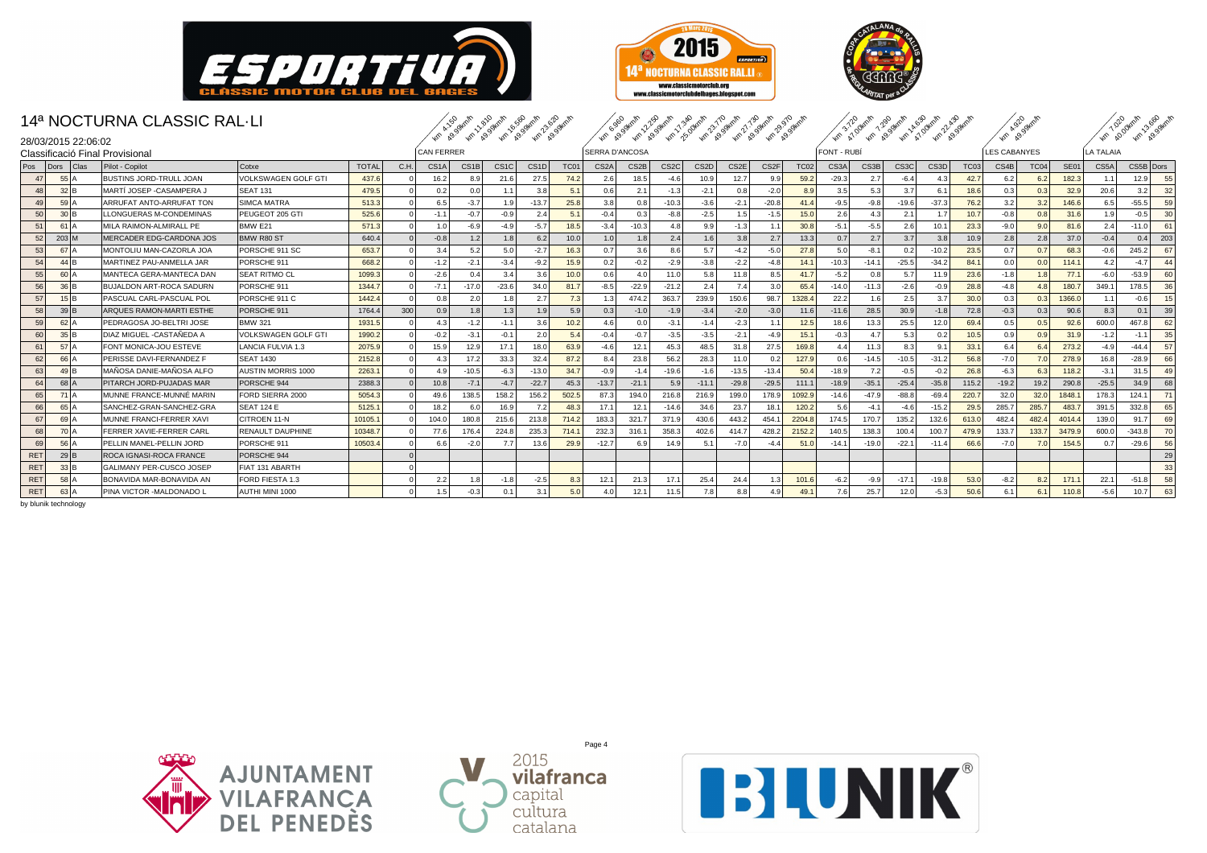





|            |                                | 14ª NOCTURNA CLASSIC RAL-LI     |                            |              |      |                   | kin kasaketh Asoskath 658 sketh 2020 sketh |                   |                   |                  | <b>Accidental Accidents</b> 1.3 Bathy 210 active 1.1 Bathy 290 active |         |         |                   |         |                  | 1/10-3/70 dram 1.20 dram A 59 dram 2.29 dram |                   |         |         | Km 4.929 straits  |             |                     |                  | 1.1.000 Km 2.589 Am |                  |                |
|------------|--------------------------------|---------------------------------|----------------------------|--------------|------|-------------------|--------------------------------------------|-------------------|-------------------|------------------|-----------------------------------------------------------------------|---------|---------|-------------------|---------|------------------|----------------------------------------------|-------------------|---------|---------|-------------------|-------------|---------------------|------------------|---------------------|------------------|----------------|
|            | 28/03/2015 22:06:02            | Classificació Final Provisional |                            |              |      | CAN FERRER        |                                            |                   |                   |                  | <b>SERRA D'ANCOSA</b>                                                 |         |         |                   |         |                  |                                              | <b>FONT - RUB</b> |         |         |                   |             | <b>LES CABANYES</b> |                  |                     | <b>LA TALAIA</b> |                |
| Pos        | Dors<br>Clas                   | Pilot - Copilot                 | Cotxe                      | <b>TOTAL</b> | C.H. | CS <sub>1</sub> A | CS <sub>1B</sub>                           | CS <sub>1</sub> C | CS <sub>1</sub> D | TC01             | CS <sub>2</sub> A                                                     | CS2B    | CS2C    | CS <sub>2</sub> D | CS2E    | CS <sub>2F</sub> | <b>TC02</b>                                  | CS3A              | CS3B    | CS3C    | CS <sub>3</sub> D | <b>TC03</b> | CS4B                | TC04             | <b>SE01</b>         | CS5A             | CS5B Dors      |
| 47         | 55                             | <b>BUSTINS JORD-TRULL JOAN</b>  | <b>VOLKSWAGEN GOLF GTI</b> | 437.6        |      | 16.2              | 8.9                                        | 21.6              | 27.5              | 74.2             | 2.6                                                                   | 18.5    | $-4.6$  | 10.9              | 12.7    | 9S               | 59.2                                         | $-29.3$           | 2.7     | $-6.4$  | 4.3               | 42.7        | 6.2                 | 6.2              | 182.3               | 1.1              | 12.9<br>55     |
| 48         | $32$ <sub>B</sub>              | MARTÍ JOSEP -CASAMPERA J        | <b>SEAT 131</b>            | 479.5        |      | 0.2               | 0.0                                        | 1.1               | 3.8               | 5.1              | 0.6                                                                   | 2.1     | $-1.3$  | $-2.1$            | 0.8     | $-2.0$           | 8.9                                          | 3.5               | 5.3     | 3.7     | 6.1               | 18.6        | 0.3                 | 0.3              | 32.9                | 20.6             | 32<br>3.2      |
| 49         | $59$ <sup><math>A</math></sup> | ARRUFAT ANTO-ARRUFAT TON        | <b>SIMCA MATRA</b>         | 513.3        |      | 6.5               | $-3.7$                                     | 1.9               | $-13.7$           | 25.8             | 3.8                                                                   | 0.8     | $-10.3$ | $-3.6$            | $-2.1$  | $-20.8$          | 41.4                                         | $-9.5$            | $-9.8$  | $-19.6$ | $-37.3$           | 76.2        | 3.2                 | 3.2              | 146.6               | 6.5              | $-55.5$<br>59  |
| 50         | $30$ <sub>B</sub>              | LLONGUERAS M-CONDEMINAS         | PEUGEOT 205 GTI            | 525.6        |      | $-1.1$            | $-0.7$                                     | $-0.9$            | 2.4               | 5.1              | $-0.4$                                                                | 0.3     | $-8.8$  | $-2.5$            | 1.5     | $-1.5$           | 15.0                                         | 2.6               | 4.3     | 2.1     | 1.7               | 10.7        | $-0.8$              | 0.8              | 31.6                | 1.9              | $-0.5$<br>30   |
| 51         | 61                             | MILA RAIMON-ALMIRALL PE         | <b>BMW E21</b>             | 571.3        |      | 1.0               | $-6.9$                                     | $-4.9$            | $-5.7$            | 18.5             | $-3.4$                                                                | $-10.3$ | 4.8     | 9.9               | $-1.3$  |                  | 30.8                                         | $-5.1$            | $-5.5$  | 2.6     | 10.1              | 23.3        | $-9.0$              | 9.0              | 81.6                | 2.4              | $-11.0$<br>61  |
| 52         | $203$ M                        | MERCADER EDG-CARDONA JOS        | BMW R80 ST                 | 640.4        |      | $-0.8$            | 1.2                                        | 1.8               | 6.2               | 10.0             | 1.0 <sub>1</sub>                                                      | 1.8     | 2.4     | 1.6               | 3.8     | 2.7              | 13.3                                         | 0.7               | 2.7     | 3.7     | 3.8               | 10.9        | 2.8                 | 2.8              | 37.0                | $-0.4$           | 203<br>0.4     |
| 53         | 67                             | MONTOLIU MAN-CAZORLA JOA        | PORSCHE 911 SC             | 653.7        |      | 3.4               | 5.2                                        | 5.0               | $-2.7$            | 16.3             | 0.7                                                                   | 3.6     | 8.6     | 5.7               | $-4.2$  | $-5.0$           | 27.8                                         | 5.0               | $-8.1$  | 0.2     | $-10.2$           | 23.5        | 0.7                 | 0.7              | 68.3                | $-0.6$           | 245.2<br>67    |
| 54         | 44 B                           | MARTINEZ PAU-ANMELLA JAR        | PORSCHE 911                | 668.2        |      | $-1.2$            | $-2.1$                                     | $-3.4$            | $-9.2$            | 15.9             | 0.2                                                                   | $-0.2$  | $-2.9$  | $-3.8$            | $-2.2$  | $-4.8$           | 14.1                                         | $-10.3$           | $-14.1$ | $-25.5$ | $-34.2$           | 84.         | 0.0                 | 0.0              | 114.1               | 4.2              | $-4.7$<br>44   |
| 55         | 60 A                           | MANTECA GERA-MANTECA DAN        | <b>SEAT RITMO CL</b>       | 1099.3       |      | $-2.6$            | 0.4                                        | 3.4               | 3.6               | 10.0             | 0.6                                                                   | 4.0     | 11.0    | 5.8               | 11.8    | 8.5              | 41.7                                         | $-5.2$            | 0.8     | 5.7     | 11.9              | 23.6        | $-1.8$              | 1.8              | 77.1                | $-6.0$           | $-53.9$<br>60  |
| 56         | $36$ <sub>B</sub>              | BUJALDON ART-ROCA SADURN        | PORSCHE 911                | 1344.7       |      | $-7.1$            | $-17.0$                                    | $-23.6$           | 34.0              | 81.7             | $-8.5$                                                                | $-22.9$ | $-21.2$ | 2.4               | 7.4     | 3.0              | 65.4                                         | $-14.0$           | $-11.3$ | $-2.6$  | $-0.9$            | 28.8        | $-4.8$              | 4.8              | 180.7               | 349.1            | 178.5<br>36    |
| 57         |                                | PASCUAL CARL-PASCUAL POL        | PORSCHE 911 C              | 1442.4       |      | 0.8               | 2.0                                        | 1.8               | 2.7               | 7.3              | 1.3                                                                   | 474.2   | 363.7   | 239.9             | 150.6   | 98.7             | 1328.4                                       | 22.2              | 1.6     | 2.5     | 3.7               | 30.0        | 0.3                 | 0.3              | 1366.0              | 1.1              | $-0.6$<br>15   |
| 58         | $39$ <sub>B</sub>              | ARQUES RAMON-MARTI ESTHE        | PORSCHE 911                | 1764.4       | 300  | 0.9               | 1.8                                        | 1.3               | 1.9               | 5.9              | 0.3                                                                   | $-1.0$  | $-1.9$  | $-3.4$            | $-2.0$  | $-3.0$           | 11.6                                         | $-11.6$           | 28.5    | 30.9    | $-1.8$            | 72.8        | $-0.3$              | 0.3              | 90.6                | 8.3              | 39<br>0.1      |
| 59         | $62$ <sup><math>A</math></sup> | PEDRAGOSA JO-BELTRI JOSE        | <b>BMW 321</b>             | 1931.5       |      | 4.3               | $-1.2$                                     | $-1.1$            | 3.6               | 10.2             | 4.6                                                                   | 0.0     | $-3.1$  | $-1.4$            | $-2.3$  | $\sim$ 1.        | 12.5                                         | 18.6              | 13.3    | 25.5    | 12.0              | 69.4        | 0.5                 | 0.5              | 92.6                | 600.0            | 467.8<br>62    |
| 60         | 35 B                           | DIAZ MIGUEL -CASTAÑEDA A        | <b>VOLKSWAGEN GOLF GTI</b> | 1990.2       |      | $-0.2$            | $-3.1$                                     | $-0.1$            | 2.0               | 5.4              | $-0.4$                                                                | $-0.7$  | $-3.5$  | $-3.5$            | $-2.1$  | $-4.9$           | 15.1                                         | $-0.3$            | 4.7     | 5.3     | 0.2               | 10.5        | 0.9                 | 0.9              | 31.9                | $-1.2$           | 35<br>$-1.1$   |
| 61         | 57 I                           | FONT MONICA-JOU ESTEVE          | LANCIA FULVIA 1.3          | 2075.9       |      | 15.9              | 12.9                                       | 17.1              | 18.0              | 63.9             | $-4.6$                                                                | 12.1    | 45.3    | 48.5              | 31.8    | 27.5             | 169.8                                        | 4.4               | 11.3    | 8.3     | 9.1               | 33.         | 6.4                 | 6.4              | 273.2               | $-4.9$           | $-44.4$<br>57  |
| 62         | 66 A                           | PERISSE DAVI-FERNANDEZ F        | <b>SEAT 1430</b>           | 2152.8       |      | 4.3               | 17.2                                       | 33.3              | 32.4              | 87.2             | 8.4                                                                   | 23.8    | 56.2    | 28.3              | 11.0    | 0.2              | 127.9                                        | 0.6               | $-14.5$ | $-10.5$ | $-31.2$           | 56.8        | $-7.0$              | 7.0 <sub>1</sub> | 278.9               | 16.8             | $-28.9$<br>66  |
| 63         | 4 <sup>c</sup>                 | MAÑOSA DANIE-MAÑOSA ALFO        | <b>AUSTIN MORRIS 1000</b>  | 2263.1       |      | 4.9               | $-10.5$                                    | $-6.3$            | $-13.0$           | 34.7             | $-0.9$                                                                | $-1.4$  | $-19.6$ | $-1.6$            | $-13.5$ | $-13.4$          | 50.4                                         | $-18.9$           | 7.2     | $-0.5$  | $-0.2$            | 26.8        | $-6.3$              | 6.3              | 118.2               | $-3.1$           | 31.5<br>49     |
| 64         | $68$ <sup><math>A</math></sup> | PITARCH JORD-PUJADAS MAR        | PORSCHE 944                | 2388.3       |      | 10.8              | $-7.1$                                     | $-4.7$            | $-22.7$           | 45.3             | $-13.7$                                                               | $-21.1$ | 5.9     | $-11.1$           | $-29.8$ | $-29.5$          | 111.1                                        | $-18.9$           | $-35.1$ | $-25.4$ | $-35.8$           | 115.2       | $-19.2$             | 19.2             | 290.8               | $-25.5$          | 34.9<br>68     |
| 65         | 71A                            | MUNNE FRANCE-MUNNÉ MARIN        | FORD SIERRA 2000           | 5054.3       |      | 49.6              | 138.5                                      | 158.2             | 156.2             | 502.5            | 87.3                                                                  | 194.0   | 216.8   | 216.9             | 199.0   | 178.9            | 1092.9                                       | $-14.6$           | $-47.9$ | $-88.8$ | $-69.4$           | 220.7       | 32.0                | 32.0             | 1848.1              | 178.3            | 124.1<br>71    |
| 66         | 65                             | SANCHEZ-GRAN-SANCHEZ-GRA        | <b>SEAT 124 E</b>          | 5125.1       |      | 18.2              | 6.0                                        | 16.9              | 7.2               | 48.3             | 17.1                                                                  | 12.7    | $-14.6$ | 34.6              | 23.7    | 18.              | 120.2                                        | 5.6               | $-4.1$  | -4.6    | $-15.2$           | 29.5        | 285.                | 285.7            | 483.7               | 391.5            | 332.8<br>65    |
| 67         | 69 A                           | MUNNE FRANCI-FERRER XAV         | CITROEN 11-N               | 10105.1      |      | 104.0             | 180.8                                      | 215.6             | 213.8             | 714.2            | 183.3                                                                 | 321.7   | 371.9   | 430.6             | 443.2   | 454.             | 2204.8                                       | 174.5             | 170.7   | 135.2   | 132.6             | 613.0       | 482.                | 482.4            | 4014.4              | 139.0            | 91.7<br>69     |
| 68         | 70 A                           | FERRER XAVIE-FERRER CARL        | RENAULT DAUPHINE           | 10348.7      |      | 77.6              | 176.4                                      | 224.8             | 235.              | 714.1            | 232.3                                                                 | 316.7   | 358.3   | 402.6             | 414.7   | 428.             | 2152.2                                       | 140.5             | 138.3   | 100.4   | 100.7             | 479.9       | 133.                | 133.7            | 3479.9              | 600.0            | $-343.8$<br>70 |
| 69         | 56 <sup>1</sup>                | PELLIN MANEL-PELLIN JORD        | PORSCHE 911                | 10503.4      |      | 6.6               | $-2.0$                                     | 7.7               | 13.6              | 29.9             | $-12.7$                                                               | 6.9     | 14.9    | 5.1               | $-7.0$  | $-4.$            | 51.0                                         | $-14.1$           | $-19.0$ | $-22.1$ | $-11.4$           | 66.6        | $-7.0$              | 7.0              | 154.5               | 0.7              | $-29.6$<br>56  |
| RET        | $29$ <sub>B</sub>              | ROCA IGNASI-ROCA FRANCE         | PORSCHE 944                |              |      |                   |                                            |                   |                   |                  |                                                                       |         |         |                   |         |                  |                                              |                   |         |         |                   |             |                     |                  |                     |                  | 29             |
| <b>RET</b> | $33$ <sup><math>B</math></sup> | GALIMANY PER-CUSCO JOSEP        | FIAT 131 ABARTH            |              |      |                   |                                            |                   |                   |                  |                                                                       |         |         |                   |         |                  |                                              |                   |         |         |                   |             |                     |                  |                     |                  | 33             |
| <b>RET</b> | $58$ $A$                       | BONAVIDA MAR-BONAVIDA AN        | FORD FIESTA 1.3            |              |      | 2.2               | 1.8                                        | $-1.8$            | $-2.5$            | 8.3              | 12.1                                                                  | 21.3    | 17.1    | 25.4              | 24.4    | 1.3              | 101.6                                        | $-6.2$            | $-9.9$  | $-17.1$ | $-19.8$           | 53.0        | $-8.2$              | 8.2              | 171.                | 22.1             | 58<br>$-51.8$  |
| RET        | 63 A                           | PINA VICTOR -MALDONADO L        | AUTHI MINI 1000            |              |      | 1.5               | $-0.3$                                     | 0.1               | 3.1               | 5.0 <sub>1</sub> | 4.0                                                                   | 12.1    | 11.5    | 7.8               | 8.8     |                  | 49.1                                         | 7.6               | 25.7    | 12.0    | $-5.3$            | 50.6        |                     | 6.1              | 110.8               | $-5.6$           | 10.7<br>63     |





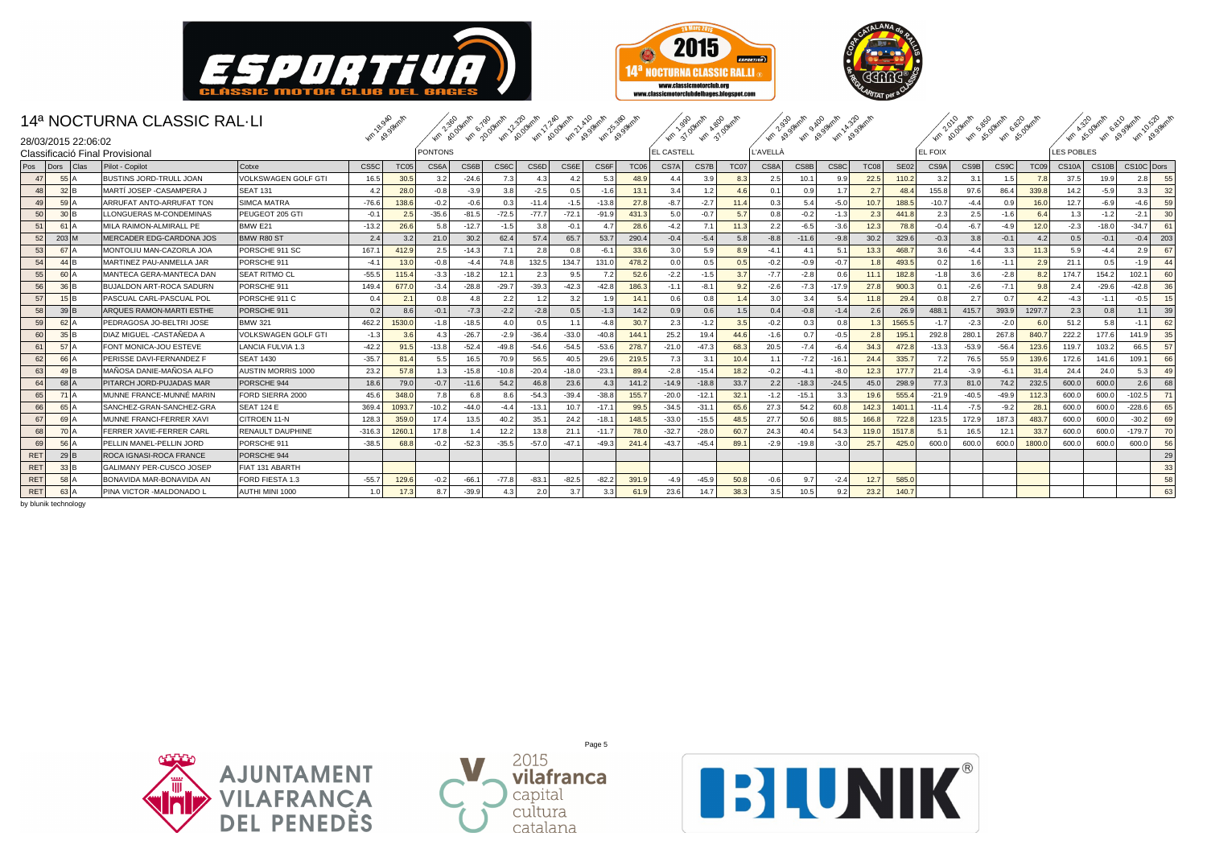





|            |                                | 14ª NOCTURNA CLASSIC RAL-LI     |                            | Km 1 & 940 Armin |             |                |         |         | As As As As Book 12 As As As As As As As As As |                  |         |             |            | Km 37 Oktolin & BOOKOT |      |                 |         | Len 299 sterits of the Soletair As 30 sterits |             |                  |                | Km 2010 dram s.esquant s.esquant |                   |        |                    |         | wh ks overly as grant as gaml |
|------------|--------------------------------|---------------------------------|----------------------------|------------------|-------------|----------------|---------|---------|------------------------------------------------|------------------|---------|-------------|------------|------------------------|------|-----------------|---------|-----------------------------------------------|-------------|------------------|----------------|----------------------------------|-------------------|--------|--------------------|---------|-------------------------------|
|            | 28/03/2015 22:06:02            |                                 |                            |                  |             |                |         |         |                                                |                  |         |             |            |                        |      |                 |         |                                               |             |                  |                |                                  |                   |        |                    |         |                               |
|            |                                | Classificació Final Provisional |                            |                  |             | <b>PONTONS</b> |         |         |                                                |                  |         |             | EL CASTELL |                        |      | <b>L'AVELLÀ</b> |         |                                               |             |                  | <b>EL FOIX</b> |                                  |                   |        | <b>LES POBLES</b>  |         |                               |
| Pos        | Dors<br>Clas                   | Pilot - Copilot                 | Cotxe                      | CS5C             | <b>TC05</b> | CS6A           | CS6B    | CS6C    | CS6D                                           | CS6E             | CS6F    | <b>TC06</b> | CS7A       | CS7B                   | TC07 | CS8A            | CS8B    | CS8C                                          | <b>TC08</b> | SE <sub>02</sub> | CS9A           | CS9B                             | CS <sub>9</sub> C | TC09   | CS <sub>10</sub> A | CS10B   | CS10C Dors                    |
| 47         | 55                             | <b>BUSTINS JORD-TRULL JOAN</b>  | VOLKSWAGEN GOLF GTI        | 16.5             | 30.5        | 3.2            | $-24.6$ | 7.3     | 4.3                                            | 4.2              | 5.3     | 48.9        | 4.4        | 3.9                    | 8.3  | 2.5             | 10.1    | 9.9                                           | 22.5        | 110.2            | 3.2            | 3.1                              | 1.5               | 7.8    | 37.5               | 19.9    | 55<br>2.8                     |
| 48         | $32$ <sub>B</sub>              | MARTÍ JOSEP - CASAMPERA J       | <b>SEAT 131</b>            | 4.2              | 28.0        | $-0.8$         | $-3.9$  | 3.8     | $-2.5$                                         | 0.5              | $-1.6$  | 13.1        | 3.4        | 1.2                    | 4.6  | 0.1             | 0.9     | 1.7 <sub>1</sub>                              | 2.7         | 48.4             | 155.8          | 97.6                             | 86.4              | 339.8  | 14.2               | $-5.9$  | 3.3<br>32                     |
| 49         | $59$ <sup><math>A</math></sup> | ARRUFAT ANTO-ARRUFAT TON        | <b>SIMCA MATRA</b>         | $-76.6$          | 138.6       | $-0.2$         | $-0.6$  | 0.3     | $-11.4$                                        | $-1.5$           | $-13.8$ | 27.8        | $-8.7$     | $-2.7$                 | 11.4 | 0.3             | 5.4     | $-5.0$                                        | 10.7        | 188.5            | $-10.7$        | $-4.4$                           | 0.9               | 16.0   | 12.7               | $-6.9$  | 59<br>$-4.6$                  |
| 50         | $30$ <sub>B</sub>              | LLONGUERAS M-CONDEMINAS         | PEUGEOT 205 GTI            | $-0.1$           | 2.5         | $-35.6$        | $-81.5$ | $-72.5$ | $-77.7$                                        | $-72.1$          | $-91.9$ | 431.3       | 5.0        | $-0.7$                 | 5.7  | 0.8             | $-0.2$  | $-1.3$                                        | 2.3         | 441.8            | 2.3            | 2.5                              | $-1.6$            | 6.4    | 1.3                | $-1.2$  | $-2.1$<br>30                  |
| 51         | 61                             | MILA RAIMON-ALMIRALL PE         | <b>BMW E21</b>             | $-13.2$          | 26.6        | 5.8            | $-12.7$ | $-1.5$  | 3.8                                            | $-0.1$           | 4.7     | 28.6        | $-4.2$     | 7.1                    | 11.3 | 2.2             | $-6.5$  | $-3.6$                                        | 12.3        | 78.8             | $-0.4$         | $-6.7$                           | $-4.9$            | 12.0   | $-2.3$             | $-18.0$ | $-34.7$<br>61                 |
| 52         | $203$ M                        | MERCADER EDG-CARDONA JOS        | BMW R80 ST                 | 2.4              | 3.2         | 21.0           | 30.2    | 62.4    | 57.4                                           | 65.7             | 53.7    | 290.4       | $-0.4$     | $-5.4$                 | 5.8  | $-8.8$          | $-11.6$ | $-9.8$                                        | 30.2        | 329.6            | $-0.3$         | 3.8                              | $-0.1$            | 4.2    | 0.5                | $-0.1$  | $-0.4$<br>203                 |
| 53         | 67I.                           | MONTOLIU MAN-CAZORLA JOA        | PORSCHE 911 SC             | 167.             | 412.9       | 2.5            | $-14.3$ | 7.1     | 2.8                                            | 0.8              | $-6.1$  | 33.6        | 3.0        | 5.9                    | 8.9  | $-4.$           | 4.1     | 5.1                                           | 13.3        | 468.7            | 3.6            | $-4.4$                           | 3.3               | 11.3   | 5.9                | $-4.4$  | 2.9<br>67                     |
| 54         | 44                             | MARTINEZ PAU-ANMELLA JAR        | PORSCHE 911                | $-4.$            | 13.0        | $-0.8$         | $-4.4$  | 74.8    | 132.5                                          | 134.7            | 131.0   | 478.2       | 0.0        | 0.5                    | 0.5  | $-0.2$          | $-0.9$  | $-0.7$                                        | 1.8         | 493.5            | 0.2            | 1.6                              | $-1.1$            | 2.9    | 21.1               | 0.5     | $-1.9$<br>44                  |
| 55         | 60 A                           | MANTECA GERA-MANTECA DAN        | <b>SEAT RITMO CL</b>       | $-55.5$          | 115.4       | $-3.3$         | $-18.2$ | 12.1    | 2.3                                            | 9.5              | 7.2     | 52.6        | $-2.2$     | $-1.5$                 | 3.7  | $-7.7$          | $-2.8$  | 0.6                                           | 11.1        | 182.8            | $-1.8$         | 3.6                              | $-2.8$            | 8.2    | 174.7              | 154.2   | 102.1<br>60                   |
| 56         | $36$ <sub>B</sub>              | <b>BUJALDON ART-ROCA SADURN</b> | PORSCHE 911                | 149.4            | 677.0       | $-3.4$         | $-28.8$ | $-29.7$ | $-39.3$                                        | $-42.3$          | $-42.8$ | 186.3       | $-1.1$     | $-8.1$                 | 9.2  | $-2.6$          | $-7.3$  | $-17.9$                                       | 27.8        | 900.3            | 0.1            | $-2.6$                           | $-7.1$            | 9.8    | 2.4                | $-29.6$ | $-42.8$<br>36                 |
| 57         |                                | PASCUAL CARL-PASCUAL POL        | PORSCHE 911 C              | 0.4              | 2.1         | 0.8            | 4.8     | 2.2     | 1.2                                            | 3.2              | 1.9     | 14.1        | 0.6        | 0.8                    | 1.4  | 3.0             | 3.4     | 5.4                                           | 11.8        | 29.4             | 0.8            | 2.7                              | 0.7               | 4.2    | $-4.3$             | $-1.1$  | $-0.5$<br>15                  |
| 58         | $39$ <sup>B</sup>              | ARQUES RAMON-MARTI ESTHE        | PORSCHE 911                | 0.2              | 8.6         | $-0.1$         | $-7.3$  | $-2.2$  | $-2.8$                                         | 0.5              | $-1.3$  | 14.2        | 0.9        | 0.6                    | 1.5  | 0.4             | $-0.8$  | $-1.4$                                        | 2.6         | 26.9             | 488.1          | 415.7                            | 393.9             | 1297.7 | 2.3                | 0.8     | 39<br>1.1                     |
| 59         | $62$ <sup><math>A</math></sup> | PEDRAGOSA JO-BELTRI JOSE        | <b>BMW 321</b>             | 462.2            | 1530.0      | $-1.8$         | $-18.5$ | 4.0     | 0.5                                            | 1.1              | $-4.8$  | 30.7        | 2.3        | $-1.2$                 | 3.5  | $-0.2$          | 0.3     | 0.8                                           | 1.3         | 1565.5           | $-1.7$         | $-2.3$                           | $-2.0$            | 6.0    | 51.2               | 5.8     | 62<br>$-1.1$                  |
| 60         | 35 B                           | DIAZ MIGUEL -CASTAÑEDA A        | <b>VOLKSWAGEN GOLF GTI</b> | $-1.3$           | 3.6         | 4.3            | $-26.7$ | $-2.9$  | $-36.4$                                        | $-33.0$          | $-40.8$ | 144.7       | 25.2       | 19.4                   | 44.6 | $-1.6$          | 0.7     | $-0.5$                                        | 2.8         | 195.1            | 292.8          | 280.                             | 267.8             | 840.7  | 222.2              | 177.6   | 35<br>141.9                   |
| 61         | 57 I                           | FONT MONICA-JOU ESTEVE          | LANCIA FULVIA 1.3          | $-42.2$          | 91.5        | $-13.8$        | $-52.4$ | $-49.8$ | $-54.6$                                        | $-54.5$          | $-53.6$ | 278.7       | $-21.0$    | $-47.3$                | 68.3 | 20.5            | $-7.4$  | $-6.4$                                        | 34.3        | 472.8            | $-13.3$        | $-53.9$                          | $-56.4$           | 123.6  | 119.7              | 103.2   | 57<br>66.5                    |
| 62         | 66 A                           | PERISSE DAVI-FERNANDEZ F        | <b>SEAT 1430</b>           | $-35.7$          | 81.4        | 5.5            | 16.5    | 70.9    | 56.5                                           | 40.5             | 29.6    | 219.5       | 7.3        | 3.1                    | 10.4 | $\sim$ 1.1      | $-7.2$  | $-16.1$                                       | 24.4        | 335.7            | 7.2            | 76.5                             | 55.9              | 139.6  | 172.6              | 141.6   | 66<br>109.1                   |
| 63         | 49                             | MAÑOSA DANIE-MAÑOSA ALFO        | <b>AUSTIN MORRIS 1000</b>  | 23.2             | 57.8        | 1.3            | $-15.8$ | $-10.8$ | $-20.4$                                        | $-18.0$          | $-23.1$ | 89.4        | $-2.8$     | $-15.4$                | 18.2 | $-0.2$          | $-4.1$  | $-8.0$                                        | 12.3        | 177.7            | 21.4           | $-3.9$                           | $-6.1$            | 31.4   | 24.4               | 24.0    | 5.3<br>49                     |
| 64         | $68$ <sup><math>A</math></sup> | PITARCH JORD-PUJADAS MAR        | PORSCHE 944                | 18.6             | 79.0        | $-0.7$         | $-11.6$ | 54.2    | 46.8                                           | 23.6             | 4.3     | 141.2       | $-14.9$    | $-18.8$                | 33.7 | 2.2             | $-18.3$ | $-24.5$                                       | 45.0        | 298.9            | 77.3           | 81.0                             | 74.2              | 232.5  | 600.0              | 600.0   | 2.6<br>68                     |
| 65         | $71$ $A$                       | MUNNE FRANCE-MUNNE MARIN        | FORD SIERRA 2000           | 45.6             | 348.0       | 7.8            | 6.8     | 8.6     | $-54.3$                                        | $-39.4$          | $-38.8$ | 155.7       | $-20.0$    | $-12.1$                | 32.1 | $-1.2$          | $-15.1$ | 3.3                                           | 19.6        | 555.4            | $-21.9$        | $-40.5$                          | $-49.9$           | 112.3  | 600.0              | 600.0   | $-102.5$<br>71                |
| 66         | 65                             | SANCHEZ-GRAN-SANCHEZ-GRA        | <b>SEAT 124 E</b>          | 369.4            | 1093.7      | $-10.2$        | $-44.0$ | $-4.4$  | $-13.7$                                        | 10.7             | $-17.1$ | 99.5        | $-34.5$    | $-31.1$                | 65.6 | 27.3            | 54.2    | 60.8                                          | 142.3       | 1401.            | $-11.4$        | $-7.5$                           | $-9.2$            | 28.1   | 600.0              | 600.0   | 65<br>$-228.6$                |
| 67         | 69 A                           | MUNNE FRANCI-FERRER XAV         | CITROEN 11-N               | 128.3            | 359.C       | 17.4           | 13.5    | 40.2    | 35.                                            | 24.2             | $-18.1$ | 148.5       | $-33.0$    | $-15.5$                | 48.5 | 27.7            | 50.6    | 88.5                                          | 166.8       | 722.8            | 123.5          | 172.9                            | 187.              | 483.7  | 600.0              | 600.0   | $-30.2$<br>69                 |
| 68         | 70 A                           | FERRER XAVIE-FERRER CARL        | RENAULT DAUPHINE           | $-316.3$         | 1260.       | 17.8           | 1.4     | 12.2    | 13.8                                           | 21.1             | $-11.7$ | 78.0        | $-32.7$    | $-28.0$                | 60.  | 24.3            | 40.4    | 54.3                                          | 119.0       | 1517.8           | 5.1            | 16.5                             | 12.1              | 33.7   | 600.0              | 600.0   | $-179.7$<br>70                |
| 69         | 56                             | PELLIN MANEL-PELLIN JORD        | PORSCHE 911                | $-38.5$          | 68.8        | $-0.2$         | $-52.3$ | $-35.5$ | $-57.0$                                        | $-47.1$          | $-49.3$ | 241.4       | $-43.7$    | $-45.4$                | 89.  | $-2.9$          | $-19.8$ | $-3.0$                                        | 25.7        | 425.0            | 600.0          | 600.0                            | 600.              | 1800.0 | 600.0              | 600.0   | 56<br>600.0                   |
| RET        | $29$ <sub>B</sub>              | ROCA IGNASI-ROCA FRANCE         | PORSCHE 944                |                  |             |                |         |         |                                                |                  |         |             |            |                        |      |                 |         |                                               |             |                  |                |                                  |                   |        |                    |         | 29                            |
| <b>RET</b> | $33$ <sup><math>B</math></sup> | GALIMANY PER-CUSCO JOSEP        | FIAT 131 ABARTH            |                  |             |                |         |         |                                                |                  |         |             |            |                        |      |                 |         |                                               |             |                  |                |                                  |                   |        |                    |         | 33                            |
| <b>RET</b> | $58$   $A$                     | BONAVIDA MAR-BONAVIDA AN        | <b>FORD FIESTA 1.3</b>     | $-55.7$          | 129.6       | $-0.2$         | $-66.1$ | $-77.8$ | $-83.$                                         | $-82.5$          | $-82.2$ | 391.9       | $-4.9$     | $-45.9$                | 50.8 | $-0.6$          | 9.7     | $-2.4$                                        | 12.7        | 585.0            |                |                                  |                   |        |                    |         | 58                            |
| RET        | 63 A                           | PINA VICTOR -MALDONADO L        | AUTHI MINI 1000            | 1.01             | 17.3        | 8.7            | $-39.9$ | 4.3     | 2.0                                            | 3.7 <sub>1</sub> | 3.3     | 61.9        | 23.6       | 14.7                   | 38.3 | 3.5             | 10.5    | 9.2                                           | 23.2        | 140.7            |                |                                  |                   |        |                    |         | 63                            |